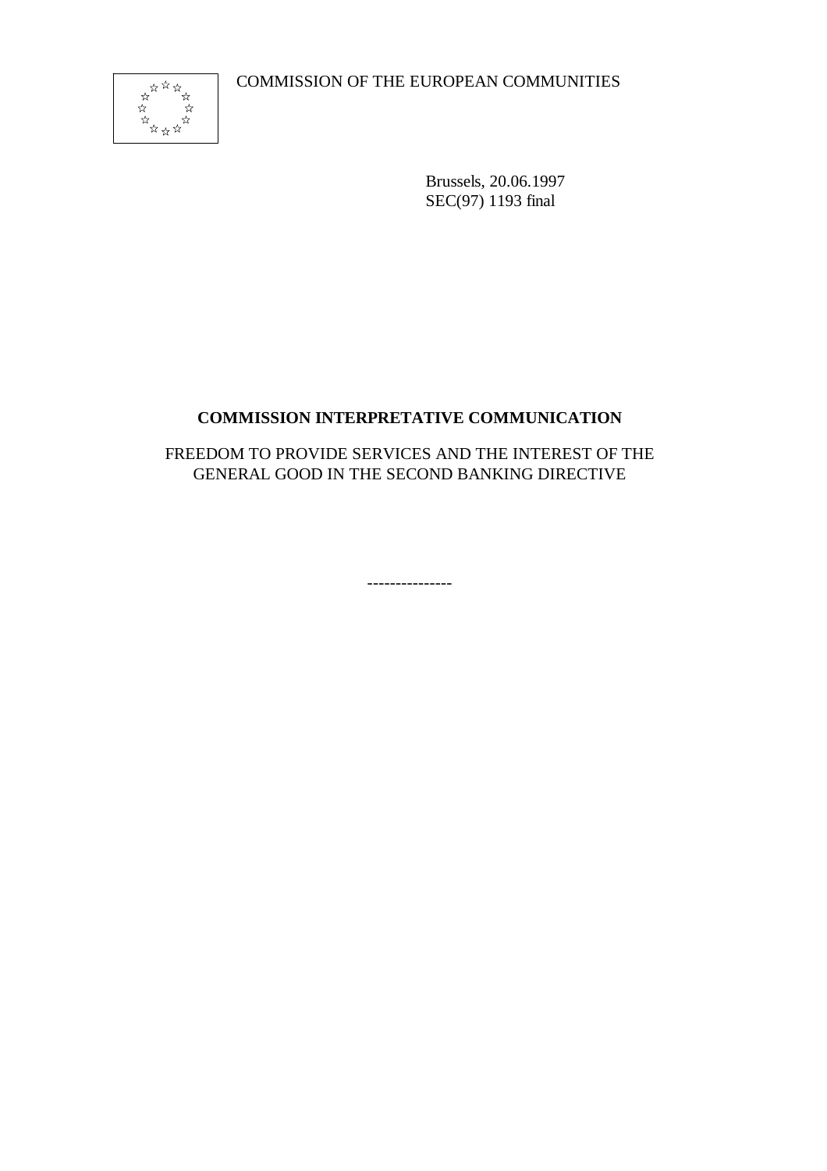COMMISSION OF THE EUROPEAN COMMUNITIES



Brussels, 20.06.1997 SEC(97) 1193 final

# **COMMISSION INTERPRETATIVE COMMUNICATION**

## FREEDOM TO PROVIDE SERVICES AND THE INTEREST OF THE GENERAL GOOD IN THE SECOND BANKING DIRECTIVE

---------------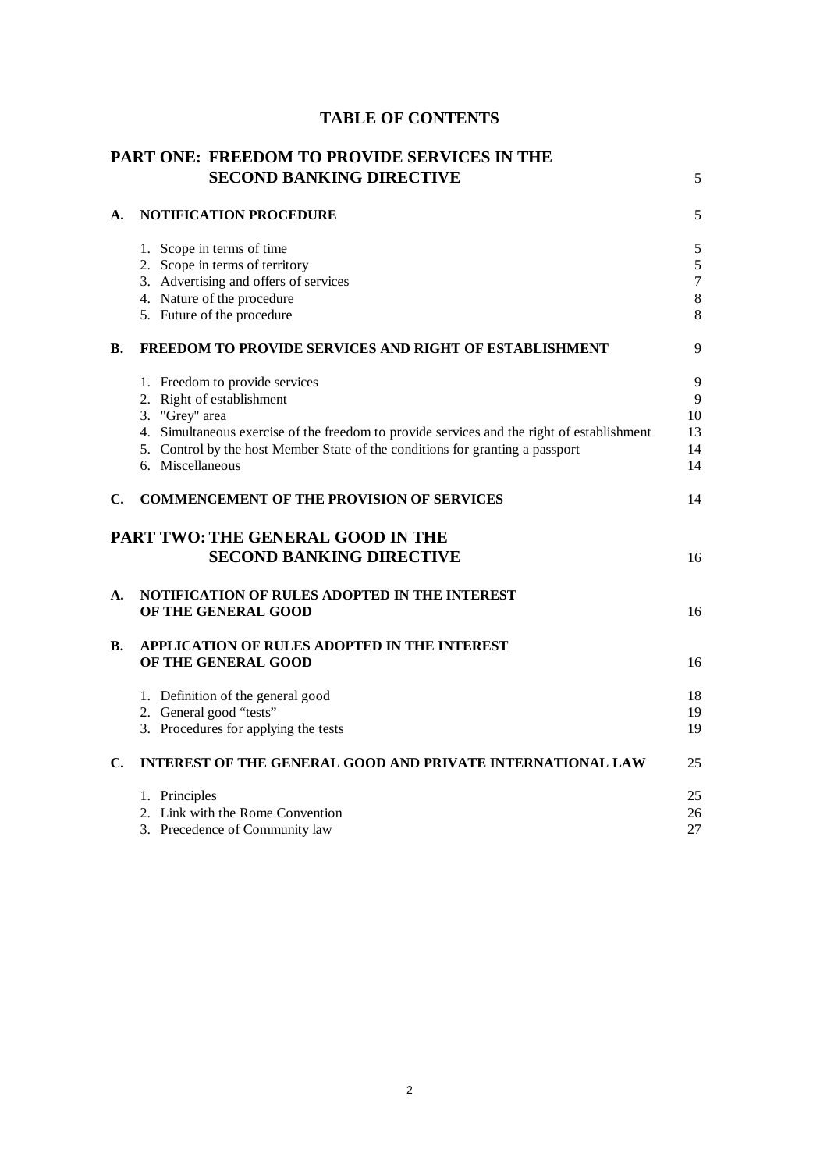| PART ONE: FREEDOM TO PROVIDE SERVICES IN THE |                                                                                            |                |
|----------------------------------------------|--------------------------------------------------------------------------------------------|----------------|
|                                              | <b>SECOND BANKING DIRECTIVE</b>                                                            | 5              |
| А.                                           | NOTIFICATION PROCEDURE                                                                     | 5              |
|                                              | 1. Scope in terms of time                                                                  | 5              |
|                                              | 2. Scope in terms of territory                                                             | $\sqrt{5}$     |
|                                              | 3. Advertising and offers of services                                                      | $\overline{7}$ |
|                                              | 4. Nature of the procedure                                                                 | $8\,$          |
|                                              | 5. Future of the procedure                                                                 | 8              |
| В.                                           | FREEDOM TO PROVIDE SERVICES AND RIGHT OF ESTABLISHMENT                                     | 9              |
|                                              | 1. Freedom to provide services                                                             | 9              |
|                                              | 2. Right of establishment                                                                  | 9              |
|                                              | 3. "Grey" area                                                                             | 10             |
|                                              | 4. Simultaneous exercise of the freedom to provide services and the right of establishment | 13             |
|                                              | 5. Control by the host Member State of the conditions for granting a passport              | 14             |
|                                              | 6. Miscellaneous                                                                           | 14             |
| C.                                           | <b>COMMENCEMENT OF THE PROVISION OF SERVICES</b>                                           | 14             |
|                                              | PART TWO: THE GENERAL GOOD IN THE                                                          |                |
|                                              | <b>SECOND BANKING DIRECTIVE</b>                                                            | 16             |
| А.                                           | NOTIFICATION OF RULES ADOPTED IN THE INTEREST                                              |                |
|                                              | OF THE GENERAL GOOD                                                                        | 16             |
| <b>B.</b>                                    | APPLICATION OF RULES ADOPTED IN THE INTEREST                                               |                |
|                                              | OF THE GENERAL GOOD                                                                        | 16             |
|                                              | 1. Definition of the general good                                                          | 18             |
|                                              | 2. General good "tests"                                                                    | 19             |
|                                              | 3. Procedures for applying the tests                                                       | 19             |
| C.                                           | <b>INTEREST OF THE GENERAL GOOD AND PRIVATE INTERNATIONAL LAW</b>                          | 25             |
|                                              | 1. Principles                                                                              | 25             |
|                                              | 2. Link with the Rome Convention                                                           | 26             |
|                                              | 3. Precedence of Community law                                                             | 27             |

# **TABLE OF CONTENTS**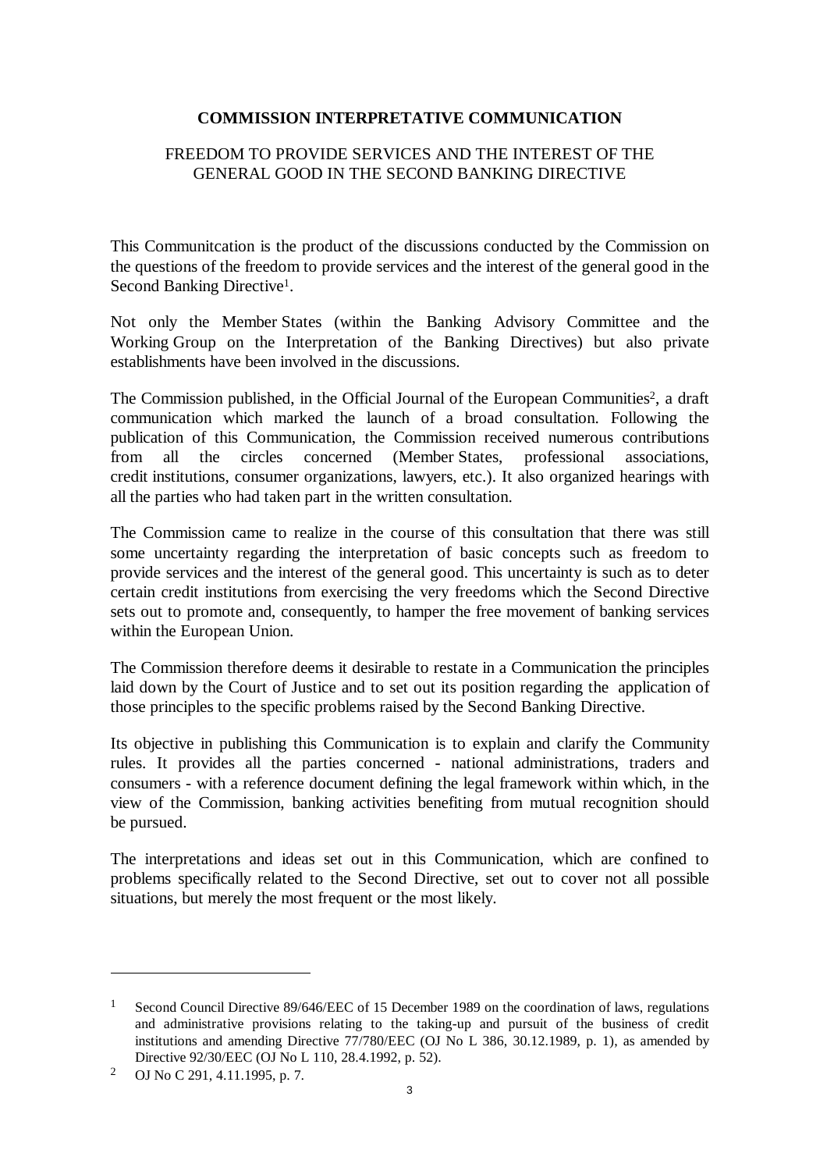#### **COMMISSION INTERPRETATIVE COMMUNICATION**

#### FREEDOM TO PROVIDE SERVICES AND THE INTEREST OF THE GENERAL GOOD IN THE SECOND BANKING DIRECTIVE

This Communitcation is the product of the discussions conducted by the Commission on the questions of the freedom to provide services and the interest of the general good in the Second Banking Directive<sup>1</sup>.

Not only the Member States (within the Banking Advisory Committee and the Working Group on the Interpretation of the Banking Directives) but also private establishments have been involved in the discussions.

The Commission published, in the Official Journal of the European Communities<sup>2</sup>, a draft communication which marked the launch of a broad consultation. Following the publication of this Communication, the Commission received numerous contributions from all the circles concerned (Member States, professional associations, credit institutions, consumer organizations, lawyers, etc.). It also organized hearings with all the parties who had taken part in the written consultation.

The Commission came to realize in the course of this consultation that there was still some uncertainty regarding the interpretation of basic concepts such as freedom to provide services and the interest of the general good. This uncertainty is such as to deter certain credit institutions from exercising the very freedoms which the Second Directive sets out to promote and, consequently, to hamper the free movement of banking services within the European Union.

The Commission therefore deems it desirable to restate in a Communication the principles laid down by the Court of Justice and to set out its position regarding the application of those principles to the specific problems raised by the Second Banking Directive.

Its objective in publishing this Communication is to explain and clarify the Community rules. It provides all the parties concerned - national administrations, traders and consumers - with a reference document defining the legal framework within which, in the view of the Commission, banking activities benefiting from mutual recognition should be pursued.

The interpretations and ideas set out in this Communication, which are confined to problems specifically related to the Second Directive, set out to cover not all possible situations, but merely the most frequent or the most likely.

<sup>&</sup>lt;sup>1</sup> Second Council Directive 89/646/EEC of 15 December 1989 on the coordination of laws, regulations and administrative provisions relating to the taking-up and pursuit of the business of credit institutions and amending Directive 77/780/EEC (OJ No L 386, 30.12.1989, p. 1), as amended by Directive 92/30/EEC (OJ No L 110, 28.4.1992, p. 52).

<sup>2</sup> OJ No C 291, 4.11.1995, p. 7.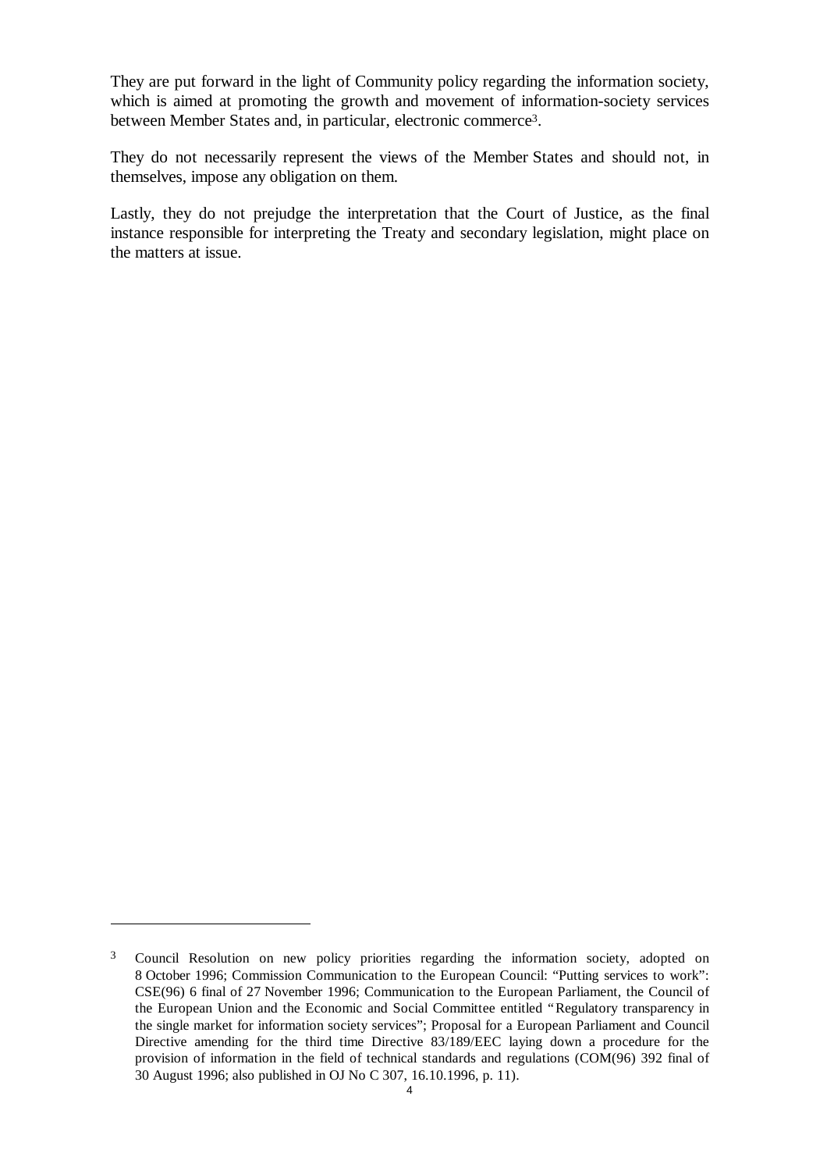They are put forward in the light of Community policy regarding the information society, which is aimed at promoting the growth and movement of information-society services between Member States and, in particular, electronic commerce<sup>3</sup>.

They do not necessarily represent the views of the Member States and should not, in themselves, impose any obligation on them.

Lastly, they do not prejudge the interpretation that the Court of Justice, as the final instance responsible for interpreting the Treaty and secondary legislation, might place on the matters at issue.

<sup>&</sup>lt;sup>3</sup> Council Resolution on new policy priorities regarding the information society, adopted on 8 October 1996; Commission Communication to the European Council: "Putting services to work": CSE(96) 6 final of 27 November 1996; Communication to the European Parliament, the Council of the European Union and the Economic and Social Committee entitled "Regulatory transparency in the single market for information society services"; Proposal for a European Parliament and Council Directive amending for the third time Directive 83/189/EEC laying down a procedure for the provision of information in the field of technical standards and regulations (COM(96) 392 final of 30 August 1996; also published in OJ No C 307, 16.10.1996, p. 11).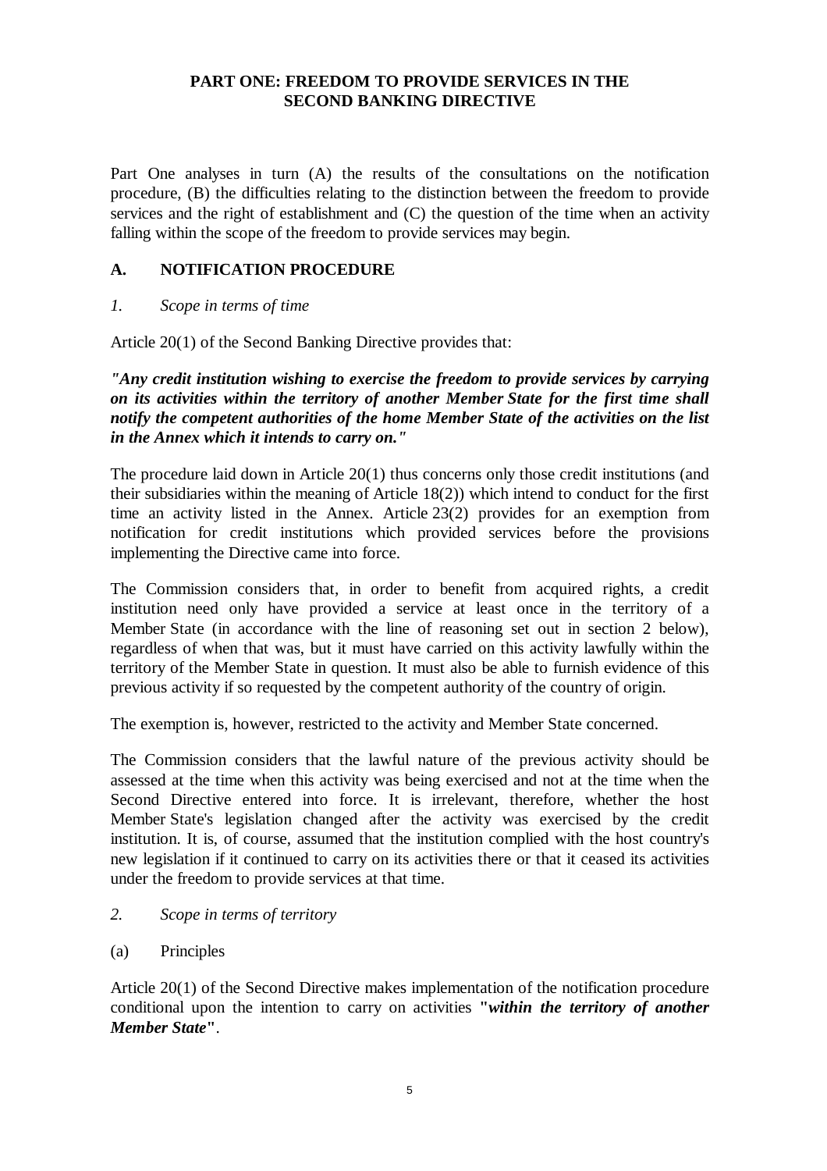#### **PART ONE: FREEDOM TO PROVIDE SERVICES IN THE SECOND BANKING DIRECTIVE**

Part One analyses in turn (A) the results of the consultations on the notification procedure, (B) the difficulties relating to the distinction between the freedom to provide services and the right of establishment and (C) the question of the time when an activity falling within the scope of the freedom to provide services may begin.

## **A. NOTIFICATION PROCEDURE**

#### *1. Scope in terms of time*

Article 20(1) of the Second Banking Directive provides that:

*"Any credit institution wishing to exercise the freedom to provide services by carrying on its activities within the territory of another Member State for the first time shall notify the competent authorities of the home Member State of the activities on the list in the Annex which it intends to carry on."*

The procedure laid down in Article 20(1) thus concerns only those credit institutions (and their subsidiaries within the meaning of Article 18(2)) which intend to conduct for the first time an activity listed in the Annex. Article 23(2) provides for an exemption from notification for credit institutions which provided services before the provisions implementing the Directive came into force.

The Commission considers that, in order to benefit from acquired rights, a credit institution need only have provided a service at least once in the territory of a Member State (in accordance with the line of reasoning set out in section 2 below), regardless of when that was, but it must have carried on this activity lawfully within the territory of the Member State in question. It must also be able to furnish evidence of this previous activity if so requested by the competent authority of the country of origin.

The exemption is, however, restricted to the activity and Member State concerned.

The Commission considers that the lawful nature of the previous activity should be assessed at the time when this activity was being exercised and not at the time when the Second Directive entered into force. It is irrelevant, therefore, whether the host Member State's legislation changed after the activity was exercised by the credit institution. It is, of course, assumed that the institution complied with the host country's new legislation if it continued to carry on its activities there or that it ceased its activities under the freedom to provide services at that time.

#### *2. Scope in terms of territory*

(a) Principles

Article 20(1) of the Second Directive makes implementation of the notification procedure conditional upon the intention to carry on activities **"***within the territory of another Member State***"**.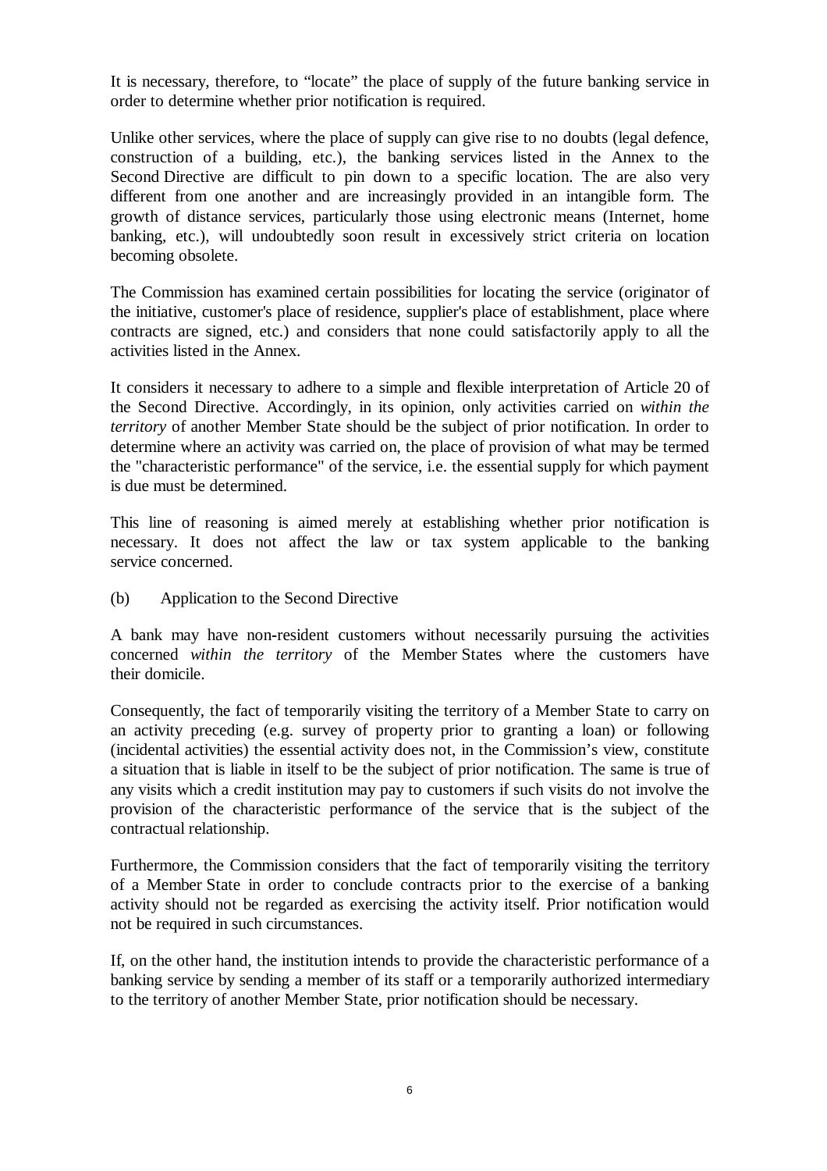It is necessary, therefore, to "locate" the place of supply of the future banking service in order to determine whether prior notification is required.

Unlike other services, where the place of supply can give rise to no doubts (legal defence, construction of a building, etc.), the banking services listed in the Annex to the Second Directive are difficult to pin down to a specific location. The are also very different from one another and are increasingly provided in an intangible form. The growth of distance services, particularly those using electronic means (Internet, home banking, etc.), will undoubtedly soon result in excessively strict criteria on location becoming obsolete.

The Commission has examined certain possibilities for locating the service (originator of the initiative, customer's place of residence, supplier's place of establishment, place where contracts are signed, etc.) and considers that none could satisfactorily apply to all the activities listed in the Annex.

It considers it necessary to adhere to a simple and flexible interpretation of Article 20 of the Second Directive. Accordingly, in its opinion, only activities carried on *within the territory* of another Member State should be the subject of prior notification. In order to determine where an activity was carried on, the place of provision of what may be termed the "characteristic performance" of the service, i.e. the essential supply for which payment is due must be determined.

This line of reasoning is aimed merely at establishing whether prior notification is necessary. It does not affect the law or tax system applicable to the banking service concerned.

(b) Application to the Second Directive

A bank may have non**-**resident customers without necessarily pursuing the activities concerned *within the territory* of the Member States where the customers have their domicile.

Consequently, the fact of temporarily visiting the territory of a Member State to carry on an activity preceding (e.g. survey of property prior to granting a loan) or following (incidental activities) the essential activity does not, in the Commission's view, constitute a situation that is liable in itself to be the subject of prior notification. The same is true of any visits which a credit institution may pay to customers if such visits do not involve the provision of the characteristic performance of the service that is the subject of the contractual relationship.

Furthermore, the Commission considers that the fact of temporarily visiting the territory of a Member State in order to conclude contracts prior to the exercise of a banking activity should not be regarded as exercising the activity itself. Prior notification would not be required in such circumstances.

If, on the other hand, the institution intends to provide the characteristic performance of a banking service by sending a member of its staff or a temporarily authorized intermediary to the territory of another Member State, prior notification should be necessary.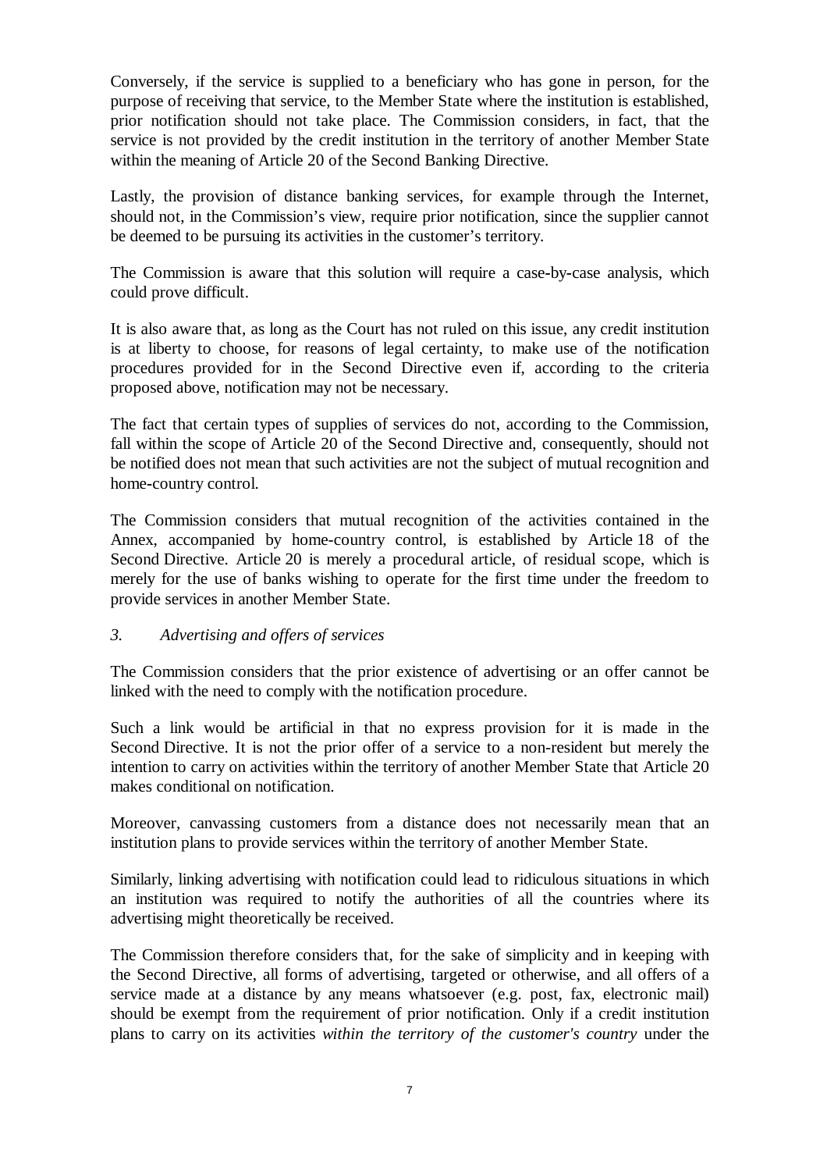Conversely, if the service is supplied to a beneficiary who has gone in person, for the purpose of receiving that service, to the Member State where the institution is established, prior notification should not take place. The Commission considers, in fact, that the service is not provided by the credit institution in the territory of another Member State within the meaning of Article 20 of the Second Banking Directive.

Lastly, the provision of distance banking services, for example through the Internet, should not, in the Commission's view, require prior notification, since the supplier cannot be deemed to be pursuing its activities in the customer's territory.

The Commission is aware that this solution will require a case**-**by**-**case analysis, which could prove difficult.

It is also aware that, as long as the Court has not ruled on this issue, any credit institution is at liberty to choose, for reasons of legal certainty, to make use of the notification procedures provided for in the Second Directive even if, according to the criteria proposed above, notification may not be necessary.

The fact that certain types of supplies of services do not, according to the Commission, fall within the scope of Article 20 of the Second Directive and, consequently, should not be notified does not mean that such activities are not the subject of mutual recognition and home**-**country control.

The Commission considers that mutual recognition of the activities contained in the Annex, accompanied by home-country control, is established by Article 18 of the Second Directive. Article 20 is merely a procedural article, of residual scope, which is merely for the use of banks wishing to operate for the first time under the freedom to provide services in another Member State.

#### *3. Advertising and offers of services*

The Commission considers that the prior existence of advertising or an offer cannot be linked with the need to comply with the notification procedure.

Such a link would be artificial in that no express provision for it is made in the Second Directive. It is not the prior offer of a service to a non-resident but merely the intention to carry on activities within the territory of another Member State that Article 20 makes conditional on notification.

Moreover, canvassing customers from a distance does not necessarily mean that an institution plans to provide services within the territory of another Member State.

Similarly, linking advertising with notification could lead to ridiculous situations in which an institution was required to notify the authorities of all the countries where its advertising might theoretically be received.

The Commission therefore considers that, for the sake of simplicity and in keeping with the Second Directive, all forms of advertising, targeted or otherwise, and all offers of a service made at a distance by any means whatsoever (e.g. post, fax, electronic mail) should be exempt from the requirement of prior notification. Only if a credit institution plans to carry on its activities *within the territory of the customer's country* under the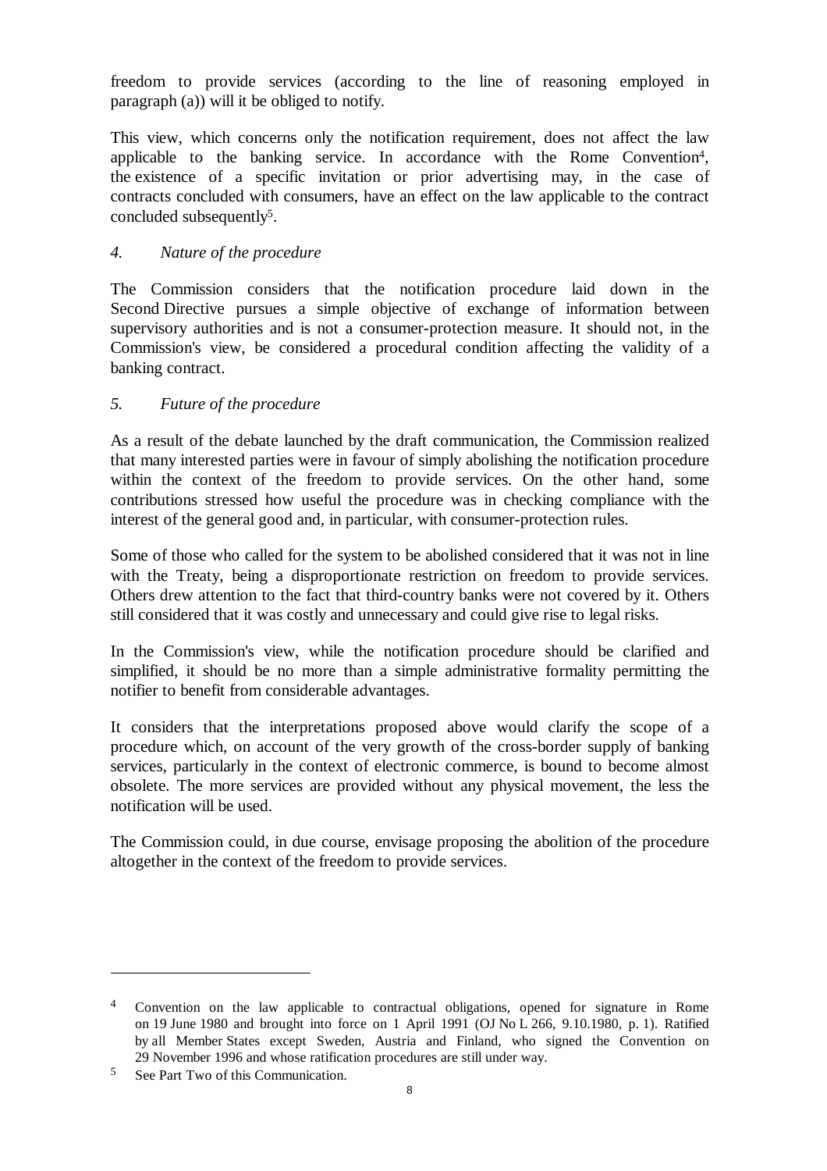freedom to provide services (according to the line of reasoning employed in paragraph (a)) will it be obliged to notify.

This view, which concerns only the notification requirement, does not affect the law applicable to the banking service. In accordance with the Rome Convention<sup>4</sup>, the existence of a specific invitation or prior advertising may, in the case of contracts concluded with consumers, have an effect on the law applicable to the contract concluded subsequently<sup>5</sup>.

## *4. Nature of the procedure*

The Commission considers that the notification procedure laid down in the Second Directive pursues a simple objective of exchange of information between supervisory authorities and is not a consumer-protection measure. It should not, in the Commission's view, be considered a procedural condition affecting the validity of a banking contract.

## *5. Future of the procedure*

As a result of the debate launched by the draft communication, the Commission realized that many interested parties were in favour of simply abolishing the notification procedure within the context of the freedom to provide services. On the other hand, some contributions stressed how useful the procedure was in checking compliance with the interest of the general good and, in particular, with consumer-protection rules.

Some of those who called for the system to be abolished considered that it was not in line with the Treaty, being a disproportionate restriction on freedom to provide services. Others drew attention to the fact that third-country banks were not covered by it. Others still considered that it was costly and unnecessary and could give rise to legal risks.

In the Commission's view, while the notification procedure should be clarified and simplified, it should be no more than a simple administrative formality permitting the notifier to benefit from considerable advantages.

It considers that the interpretations proposed above would clarify the scope of a procedure which, on account of the very growth of the cross-border supply of banking services, particularly in the context of electronic commerce, is bound to become almost obsolete. The more services are provided without any physical movement, the less the notification will be used.

The Commission could, in due course, envisage proposing the abolition of the procedure altogether in the context of the freedom to provide services.

<sup>4</sup> Convention on the law applicable to contractual obligations, opened for signature in Rome on 19 June 1980 and brought into force on 1 April 1991 (OJ No L 266, 9.10.1980, p. 1). Ratified by all Member States except Sweden, Austria and Finland, who signed the Convention on 29 November 1996 and whose ratification procedures are still under way.

<sup>5</sup> See Part Two of this Communication.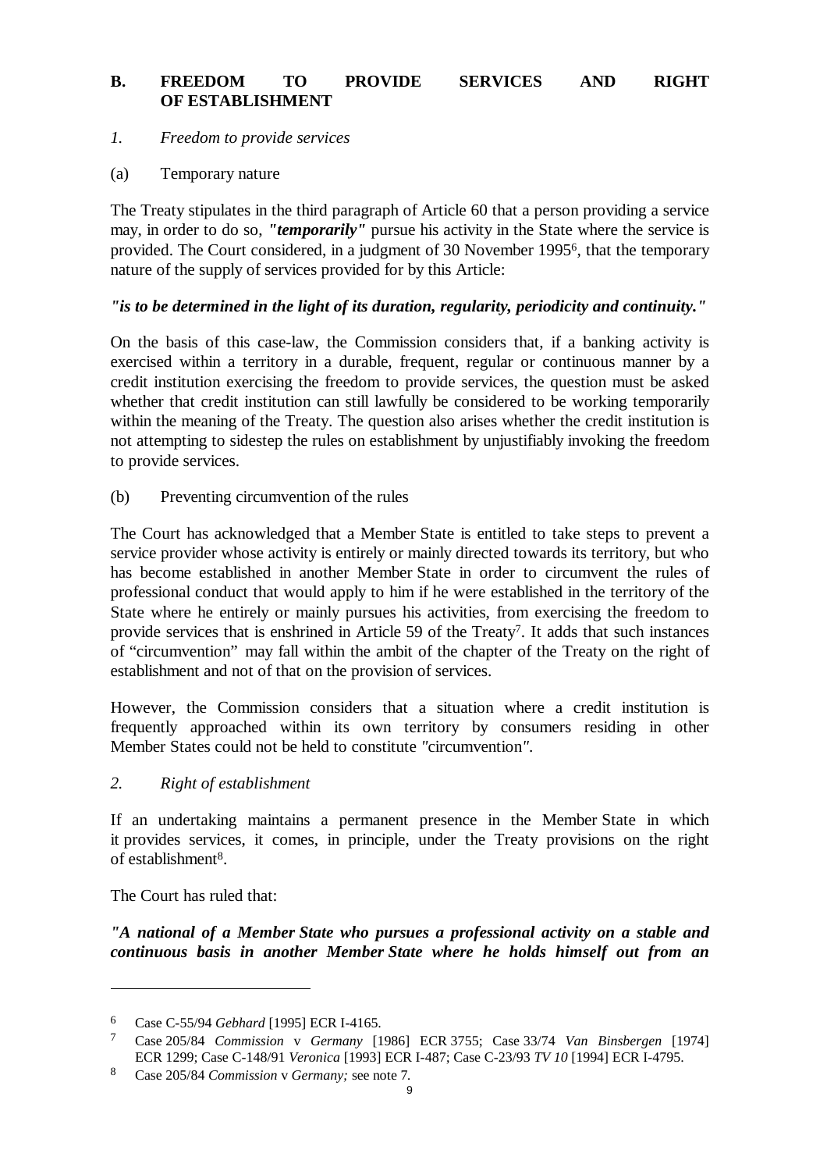## **B. FREEDOM TO PROVIDE SERVICES AND RIGHT OF ESTABLISHMENT**

- *1. Freedom to provide services*
- (a) Temporary nature

The Treaty stipulates in the third paragraph of Article 60 that a person providing a service may, in order to do so, *"temporarily"* pursue his activity in the State where the service is provided. The Court considered, in a judgment of 30 November 1995<sup>6</sup> , that the temporary nature of the supply of services provided for by this Article:

## *"is to be determined in the light of its duration, regularity, periodicity and continuity."*

On the basis of this case-law, the Commission considers that, if a banking activity is exercised within a territory in a durable, frequent, regular or continuous manner by a credit institution exercising the freedom to provide services, the question must be asked whether that credit institution can still lawfully be considered to be working temporarily within the meaning of the Treaty. The question also arises whether the credit institution is not attempting to sidestep the rules on establishment by unjustifiably invoking the freedom to provide services.

(b) Preventing circumvention of the rules

The Court has acknowledged that a Member State is entitled to take steps to prevent a service provider whose activity is entirely or mainly directed towards its territory, but who has become established in another Member State in order to circumvent the rules of professional conduct that would apply to him if he were established in the territory of the State where he entirely or mainly pursues his activities, from exercising the freedom to provide services that is enshrined in Article 59 of the Treaty<sup>7</sup>. It adds that such instances of "circumvention" may fall within the ambit of the chapter of the Treaty on the right of establishment and not of that on the provision of services.

However, the Commission considers that a situation where a credit institution is frequently approached within its own territory by consumers residing in other Member States could not be held to constitute *"*circumvention*"*.

*2. Right of establishment*

If an undertaking maintains a permanent presence in the Member State in which it provides services, it comes, in principle, under the Treaty provisions on the right of establishment<sup>8</sup>.

The Court has ruled that:

 $\overline{a}$ 

*"A national of a Member State who pursues a professional activity on a stable and continuous basis in another Member State where he holds himself out from an*

<sup>6</sup> Case C-55/94 *Gebhard* [1995] ECR I-4165.

<sup>7</sup> Case 205/84 *Commission* v *Germany* [1986] ECR 3755; Case 33/74 *Van Binsbergen* [1974] ECR 1299; Case C-148/91 *Veronica* [1993] ECR I-487; Case C-23/93 *TV 10* [1994] ECR I-4795.

<sup>8</sup> Case 205/84 *Commission* v *Germany;* see note 7*.*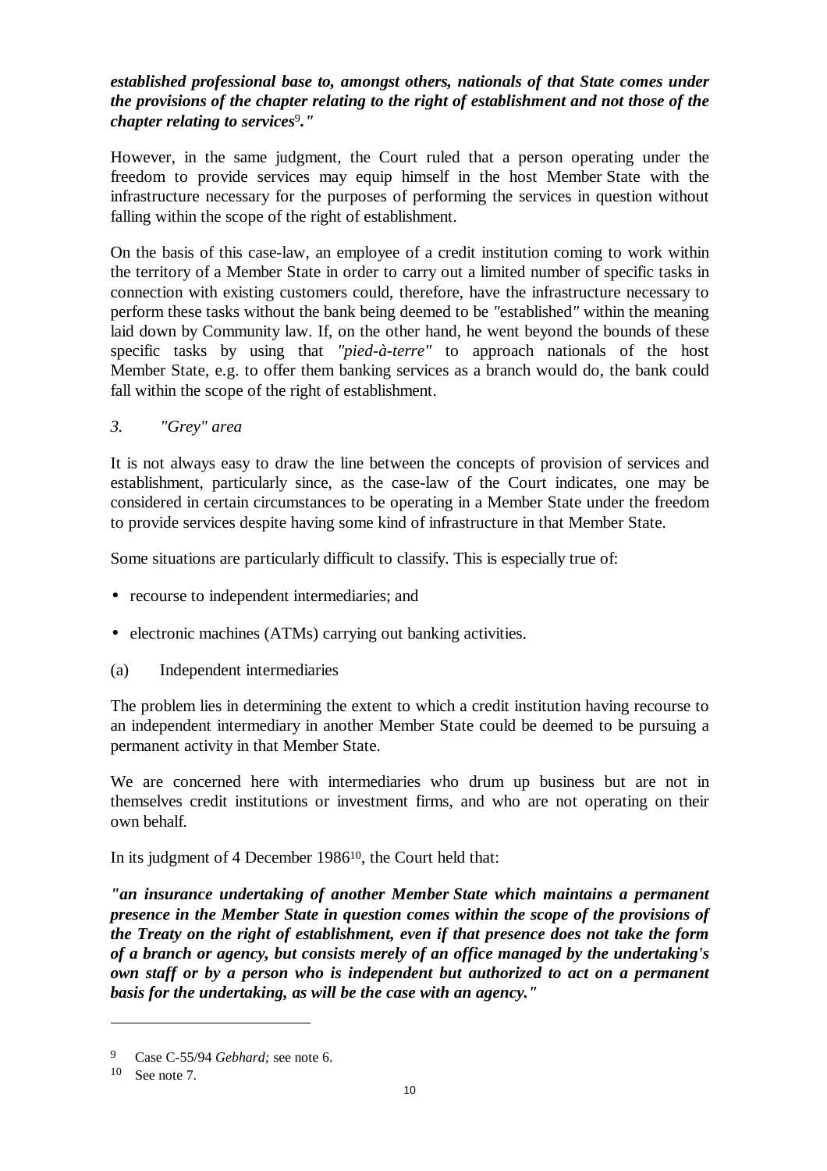## *established professional base to, amongst others, nationals of that State comes under the provisions of the chapter relating to the right of establishment and not those of the chapter relating to services*<sup>9</sup> *."*

However, in the same judgment, the Court ruled that a person operating under the freedom to provide services may equip himself in the host Member State with the infrastructure necessary for the purposes of performing the services in question without falling within the scope of the right of establishment.

On the basis of this case-law, an employee of a credit institution coming to work within the territory of a Member State in order to carry out a limited number of specific tasks in connection with existing customers could, therefore, have the infrastructure necessary to perform these tasks without the bank being deemed to be *"*established*"* within the meaning laid down by Community law. If, on the other hand, he went beyond the bounds of these specific tasks by using that *"pied-à-terre"* to approach nationals of the host Member State, e.g. to offer them banking services as a branch would do, the bank could fall within the scope of the right of establishment.

*3. "Grey" area*

It is not always easy to draw the line between the concepts of provision of services and establishment, particularly since, as the case-law of the Court indicates, one may be considered in certain circumstances to be operating in a Member State under the freedom to provide services despite having some kind of infrastructure in that Member State.

Some situations are particularly difficult to classify. This is especially true of:

- recourse to independent intermediaries; and
- electronic machines (ATMs) carrying out banking activities.
- (a) Independent intermediaries

The problem lies in determining the extent to which a credit institution having recourse to an independent intermediary in another Member State could be deemed to be pursuing a permanent activity in that Member State.

We are concerned here with intermediaries who drum up business but are not in themselves credit institutions or investment firms, and who are not operating on their own behalf.

In its judgment of 4 December 198610, the Court held that:

*"an insurance undertaking of another Member State which maintains a permanent presence in the Member State in question comes within the scope of the provisions of the Treaty on the right of establishment, even if that presence does not take the form of a branch or agency, but consists merely of an office managed by the undertaking's own staff or by a person who is independent but authorized to act on a permanent basis for the undertaking, as will be the case with an agency."*

<sup>9</sup> Case C-55/94 *Gebhard;* see note 6.

<sup>10</sup> See note 7.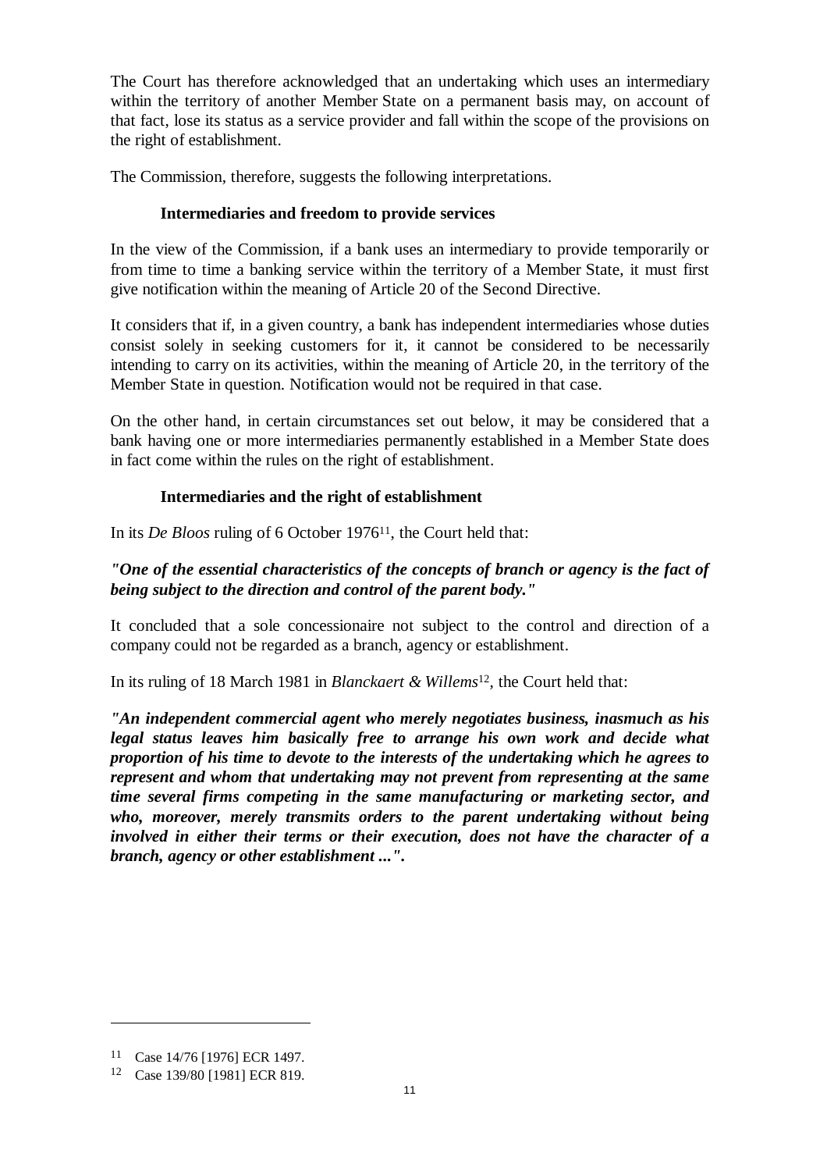The Court has therefore acknowledged that an undertaking which uses an intermediary within the territory of another Member State on a permanent basis may, on account of that fact, lose its status as a service provider and fall within the scope of the provisions on the right of establishment.

The Commission, therefore, suggests the following interpretations.

## **Intermediaries and freedom to provide services**

In the view of the Commission, if a bank uses an intermediary to provide temporarily or from time to time a banking service within the territory of a Member State, it must first give notification within the meaning of Article 20 of the Second Directive.

It considers that if, in a given country, a bank has independent intermediaries whose duties consist solely in seeking customers for it, it cannot be considered to be necessarily intending to carry on its activities, within the meaning of Article 20, in the territory of the Member State in question. Notification would not be required in that case.

On the other hand, in certain circumstances set out below, it may be considered that a bank having one or more intermediaries permanently established in a Member State does in fact come within the rules on the right of establishment.

## **Intermediaries and the right of establishment**

In its *De Bloos* ruling of 6 October 197611, the Court held that:

## *"One of the essential characteristics of the concepts of branch or agency is the fact of being subject to the direction and control of the parent body."*

It concluded that a sole concessionaire not subject to the control and direction of a company could not be regarded as a branch, agency or establishment.

In its ruling of 18 March 1981 in *Blanckaert & Willems*<sup>12</sup> *,* the Court held that:

*"An independent commercial agent who merely negotiates business, inasmuch as his legal status leaves him basically free to arrange his own work and decide what proportion of his time to devote to the interests of the undertaking which he agrees to represent and whom that undertaking may not prevent from representing at the same time several firms competing in the same manufacturing or marketing sector, and who, moreover, merely transmits orders to the parent undertaking without being involved in either their terms or their execution, does not have the character of a branch, agency or other establishment ...".*

<sup>11</sup> Case 14/76 [1976] ECR 1497.

<sup>12</sup> Case 139/80 [1981] ECR 819.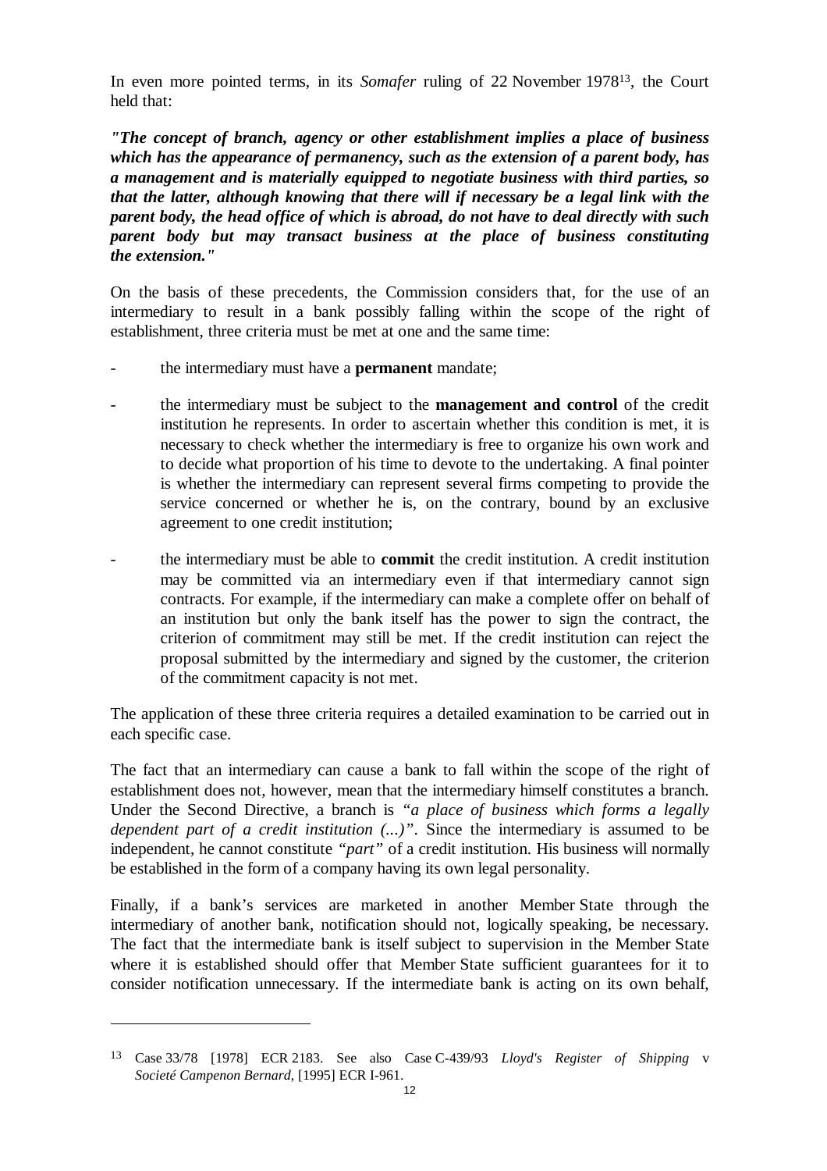In even more pointed terms, in its *Somafer* ruling of 22 November 197813, the Court held that:

*"The concept of branch, agency or other establishment implies a place of business which has the appearance of permanency, such as the extension of a parent body, has a management and is materially equipped to negotiate business with third parties, so that the latter, although knowing that there will if necessary be a legal link with the parent body, the head office of which is abroad, do not have to deal directly with such parent body but may transact business at the place of business constituting the extension."*

On the basis of these precedents, the Commission considers that, for the use of an intermediary to result in a bank possibly falling within the scope of the right of establishment, three criteria must be met at one and the same time:

- the intermediary must have a **permanent** mandate;
- the intermediary must be subject to the **management and control** of the credit institution he represents. In order to ascertain whether this condition is met, it is necessary to check whether the intermediary is free to organize his own work and to decide what proportion of his time to devote to the undertaking. A final pointer is whether the intermediary can represent several firms competing to provide the service concerned or whether he is, on the contrary, bound by an exclusive agreement to one credit institution;
- the intermediary must be able to **commit** the credit institution. A credit institution may be committed via an intermediary even if that intermediary cannot sign contracts. For example, if the intermediary can make a complete offer on behalf of an institution but only the bank itself has the power to sign the contract, the criterion of commitment may still be met. If the credit institution can reject the proposal submitted by the intermediary and signed by the customer, the criterion of the commitment capacity is not met.

The application of these three criteria requires a detailed examination to be carried out in each specific case.

The fact that an intermediary can cause a bank to fall within the scope of the right of establishment does not, however, mean that the intermediary himself constitutes a branch. Under the Second Directive, a branch is *"a place of business which forms a legally dependent part of a credit institution (...)"*. Since the intermediary is assumed to be independent, he cannot constitute *"part"* of a credit institution. His business will normally be established in the form of a company having its own legal personality.

Finally, if a bank's services are marketed in another Member State through the intermediary of another bank, notification should not, logically speaking, be necessary. The fact that the intermediate bank is itself subject to supervision in the Member State where it is established should offer that Member State sufficient guarantees for it to consider notification unnecessary. If the intermediate bank is acting on its own behalf,

<sup>13</sup> Case 33/78 [1978] ECR 2183. See also Case C-439/93 *Lloyd's Register of Shipping* v *Societé Campenon Bernard*, [1995] ECR I-961.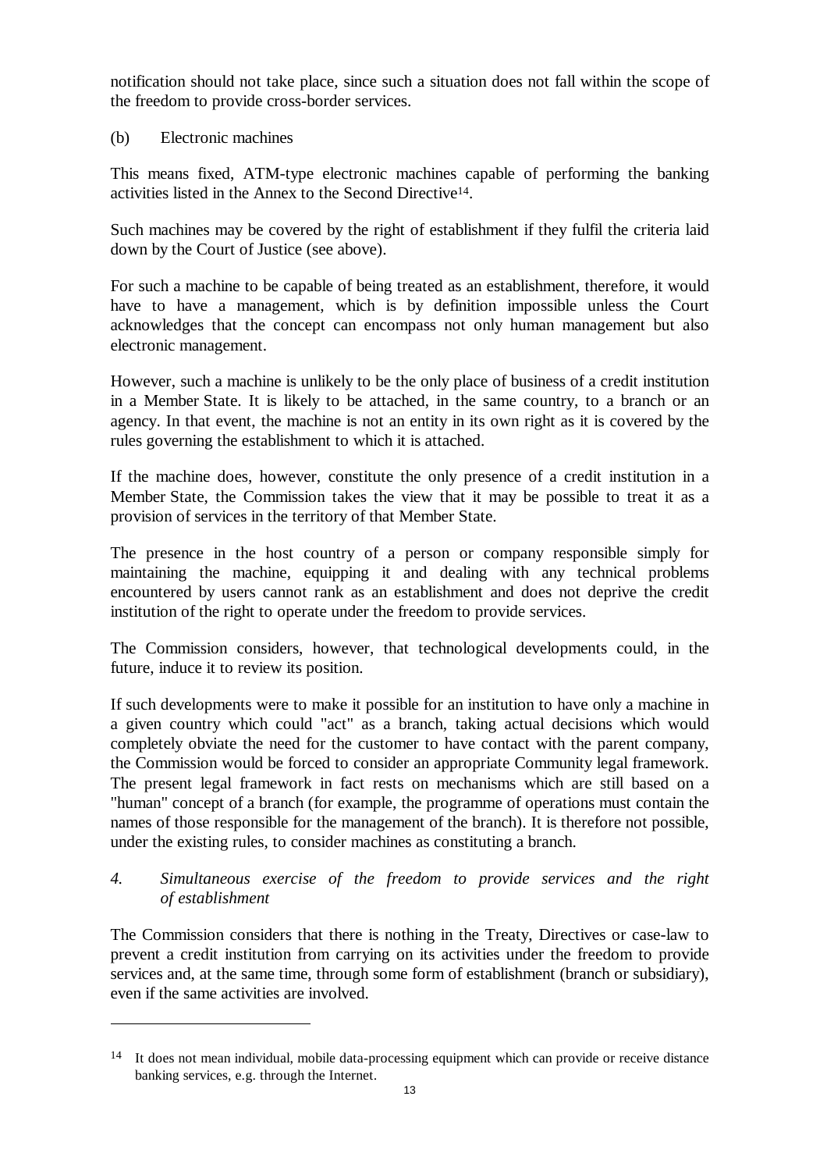notification should not take place, since such a situation does not fall within the scope of the freedom to provide cross-border services.

(b) Electronic machines

 $\overline{a}$ 

This means fixed, ATM-type electronic machines capable of performing the banking activities listed in the Annex to the Second Directive<sup>14</sup>.

Such machines may be covered by the right of establishment if they fulfil the criteria laid down by the Court of Justice (see above).

For such a machine to be capable of being treated as an establishment, therefore, it would have to have a management, which is by definition impossible unless the Court acknowledges that the concept can encompass not only human management but also electronic management.

However, such a machine is unlikely to be the only place of business of a credit institution in a Member State. It is likely to be attached, in the same country, to a branch or an agency. In that event, the machine is not an entity in its own right as it is covered by the rules governing the establishment to which it is attached.

If the machine does, however, constitute the only presence of a credit institution in a Member State, the Commission takes the view that it may be possible to treat it as a provision of services in the territory of that Member State.

The presence in the host country of a person or company responsible simply for maintaining the machine, equipping it and dealing with any technical problems encountered by users cannot rank as an establishment and does not deprive the credit institution of the right to operate under the freedom to provide services.

The Commission considers, however, that technological developments could, in the future, induce it to review its position.

If such developments were to make it possible for an institution to have only a machine in a given country which could "act" as a branch, taking actual decisions which would completely obviate the need for the customer to have contact with the parent company, the Commission would be forced to consider an appropriate Community legal framework. The present legal framework in fact rests on mechanisms which are still based on a "human" concept of a branch (for example, the programme of operations must contain the names of those responsible for the management of the branch). It is therefore not possible, under the existing rules, to consider machines as constituting a branch.

## *4. Simultaneous exercise of the freedom to provide services and the right of establishment*

The Commission considers that there is nothing in the Treaty, Directives or case-law to prevent a credit institution from carrying on its activities under the freedom to provide services and, at the same time, through some form of establishment (branch or subsidiary), even if the same activities are involved.

<sup>14</sup> It does not mean individual, mobile data-processing equipment which can provide or receive distance banking services, e.g. through the Internet.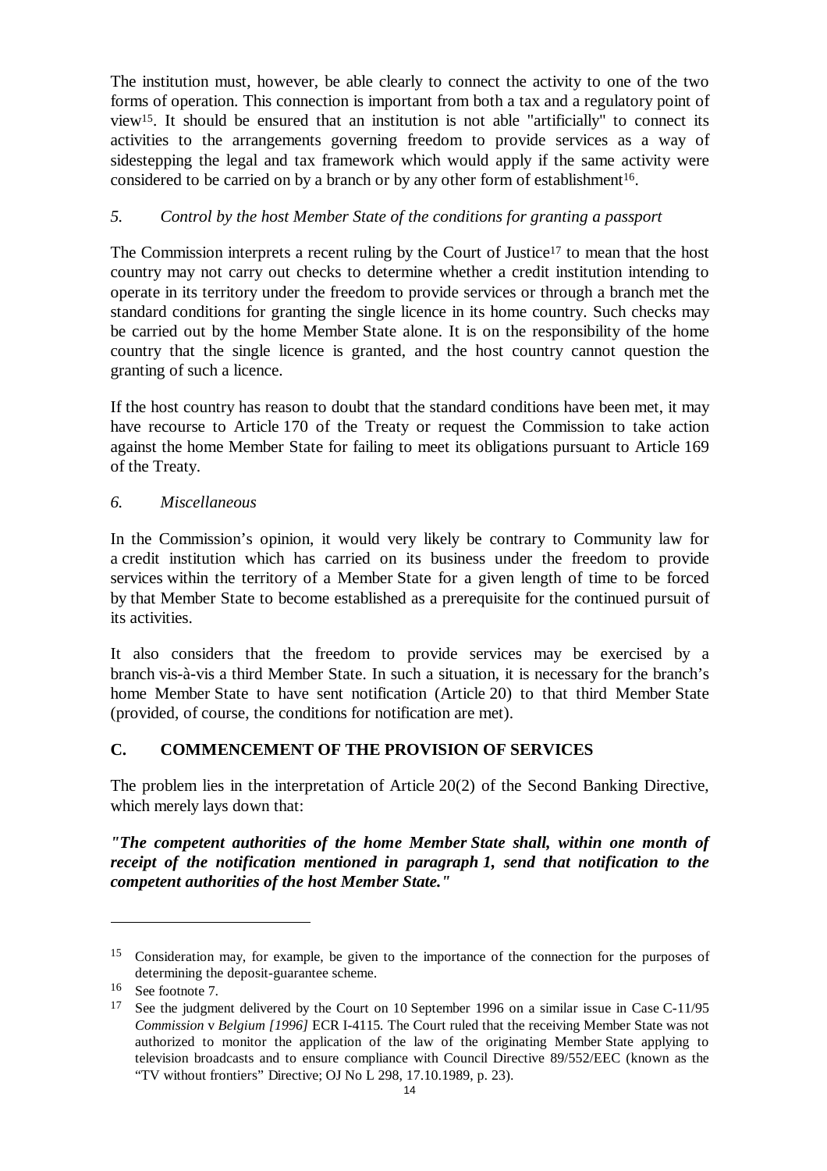The institution must, however, be able clearly to connect the activity to one of the two forms of operation. This connection is important from both a tax and a regulatory point of view15. It should be ensured that an institution is not able "artificially" to connect its activities to the arrangements governing freedom to provide services as a way of sidestepping the legal and tax framework which would apply if the same activity were considered to be carried on by a branch or by any other form of establishment<sup>16</sup>.

## *5. Control by the host Member State of the conditions for granting a passport*

The Commission interprets a recent ruling by the Court of Justice<sup>17</sup> to mean that the host country may not carry out checks to determine whether a credit institution intending to operate in its territory under the freedom to provide services or through a branch met the standard conditions for granting the single licence in its home country. Such checks may be carried out by the home Member State alone. It is on the responsibility of the home country that the single licence is granted, and the host country cannot question the granting of such a licence.

If the host country has reason to doubt that the standard conditions have been met, it may have recourse to Article 170 of the Treaty or request the Commission to take action against the home Member State for failing to meet its obligations pursuant to Article 169 of the Treaty.

#### *6. Miscellaneous*

In the Commission's opinion, it would very likely be contrary to Community law for a credit institution which has carried on its business under the freedom to provide services within the territory of a Member State for a given length of time to be forced by that Member State to become established as a prerequisite for the continued pursuit of its activities.

It also considers that the freedom to provide services may be exercised by a branch vis-à-vis a third Member State. In such a situation, it is necessary for the branch's home Member State to have sent notification (Article 20) to that third Member State (provided, of course, the conditions for notification are met).

## **C. COMMENCEMENT OF THE PROVISION OF SERVICES**

The problem lies in the interpretation of Article 20(2) of the Second Banking Directive, which merely lays down that:

*"The competent authorities of the home Member State shall, within one month of receipt of the notification mentioned in paragraph 1, send that notification to the competent authorities of the host Member State."*

<sup>15</sup> Consideration may, for example, be given to the importance of the connection for the purposes of determining the deposit-guarantee scheme.

<sup>16</sup> See footnote 7.

<sup>&</sup>lt;sup>17</sup> See the judgment delivered by the Court on 10 September 1996 on a similar issue in Case C-11/95 *Commission* v *Belgium [1996]* ECR I-4115*.* The Court ruled that the receiving Member State was not authorized to monitor the application of the law of the originating Member State applying to television broadcasts and to ensure compliance with Council Directive 89/552/EEC (known as the "TV without frontiers" Directive; OJ No L 298, 17.10.1989, p. 23).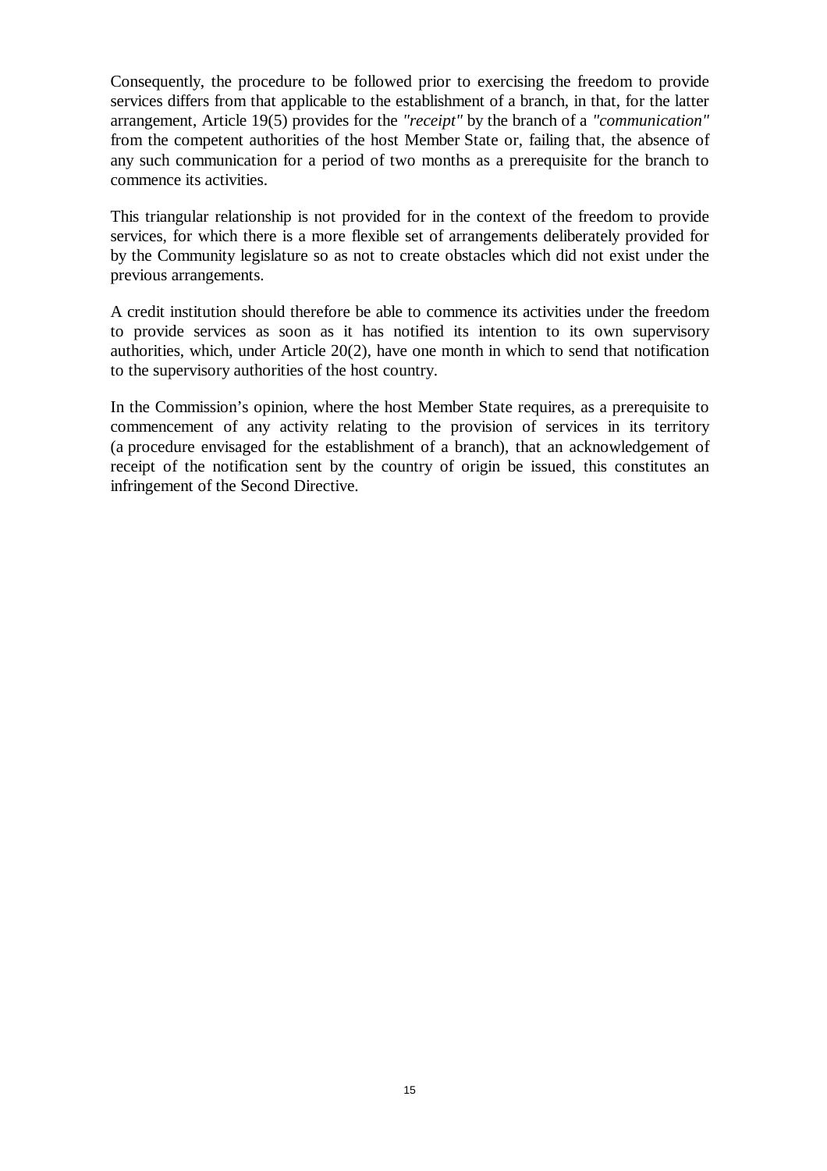Consequently, the procedure to be followed prior to exercising the freedom to provide services differs from that applicable to the establishment of a branch, in that, for the latter arrangement, Article 19(5) provides for the *"receipt"* by the branch of a *"communication"* from the competent authorities of the host Member State or, failing that, the absence of any such communication for a period of two months as a prerequisite for the branch to commence its activities.

This triangular relationship is not provided for in the context of the freedom to provide services, for which there is a more flexible set of arrangements deliberately provided for by the Community legislature so as not to create obstacles which did not exist under the previous arrangements.

A credit institution should therefore be able to commence its activities under the freedom to provide services as soon as it has notified its intention to its own supervisory authorities, which, under Article 20(2), have one month in which to send that notification to the supervisory authorities of the host country.

In the Commission's opinion, where the host Member State requires, as a prerequisite to commencement of any activity relating to the provision of services in its territory (a procedure envisaged for the establishment of a branch), that an acknowledgement of receipt of the notification sent by the country of origin be issued, this constitutes an infringement of the Second Directive.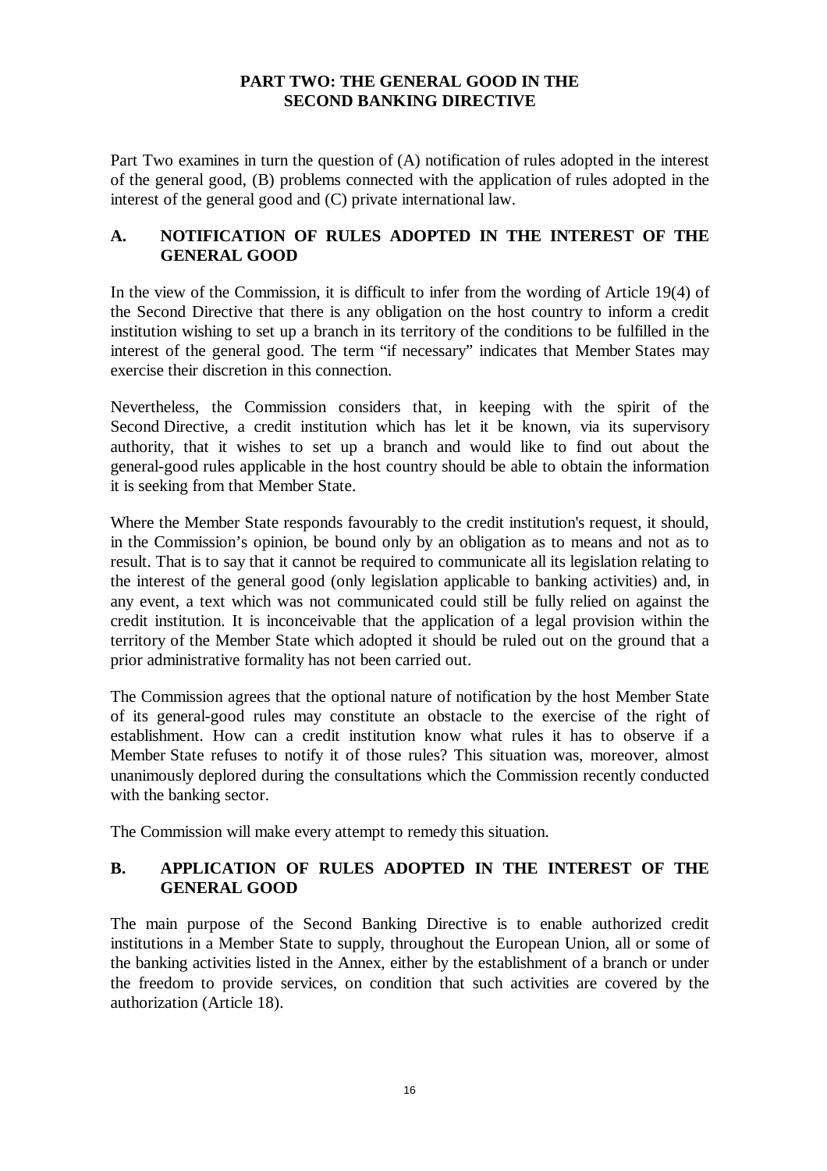#### **PART TWO: THE GENERAL GOOD IN THE SECOND BANKING DIRECTIVE**

Part Two examines in turn the question of (A) notification of rules adopted in the interest of the general good, (B) problems connected with the application of rules adopted in the interest of the general good and (C) private international law.

## **A. NOTIFICATION OF RULES ADOPTED IN THE INTEREST OF THE GENERAL GOOD**

In the view of the Commission, it is difficult to infer from the wording of Article 19(4) of the Second Directive that there is any obligation on the host country to inform a credit institution wishing to set up a branch in its territory of the conditions to be fulfilled in the interest of the general good. The term "if necessary" indicates that Member States may exercise their discretion in this connection.

Nevertheless, the Commission considers that, in keeping with the spirit of the Second Directive, a credit institution which has let it be known, via its supervisory authority, that it wishes to set up a branch and would like to find out about the general-good rules applicable in the host country should be able to obtain the information it is seeking from that Member State.

Where the Member State responds favourably to the credit institution's request, it should, in the Commission's opinion, be bound only by an obligation as to means and not as to result. That is to say that it cannot be required to communicate all its legislation relating to the interest of the general good (only legislation applicable to banking activities) and, in any event, a text which was not communicated could still be fully relied on against the credit institution. It is inconceivable that the application of a legal provision within the territory of the Member State which adopted it should be ruled out on the ground that a prior administrative formality has not been carried out.

The Commission agrees that the optional nature of notification by the host Member State of its general-good rules may constitute an obstacle to the exercise of the right of establishment. How can a credit institution know what rules it has to observe if a Member State refuses to notify it of those rules? This situation was, moreover, almost unanimously deplored during the consultations which the Commission recently conducted with the banking sector.

The Commission will make every attempt to remedy this situation.

## **B. APPLICATION OF RULES ADOPTED IN THE INTEREST OF THE GENERAL GOOD**

The main purpose of the Second Banking Directive is to enable authorized credit institutions in a Member State to supply, throughout the European Union, all or some of the banking activities listed in the Annex, either by the establishment of a branch or under the freedom to provide services, on condition that such activities are covered by the authorization (Article 18).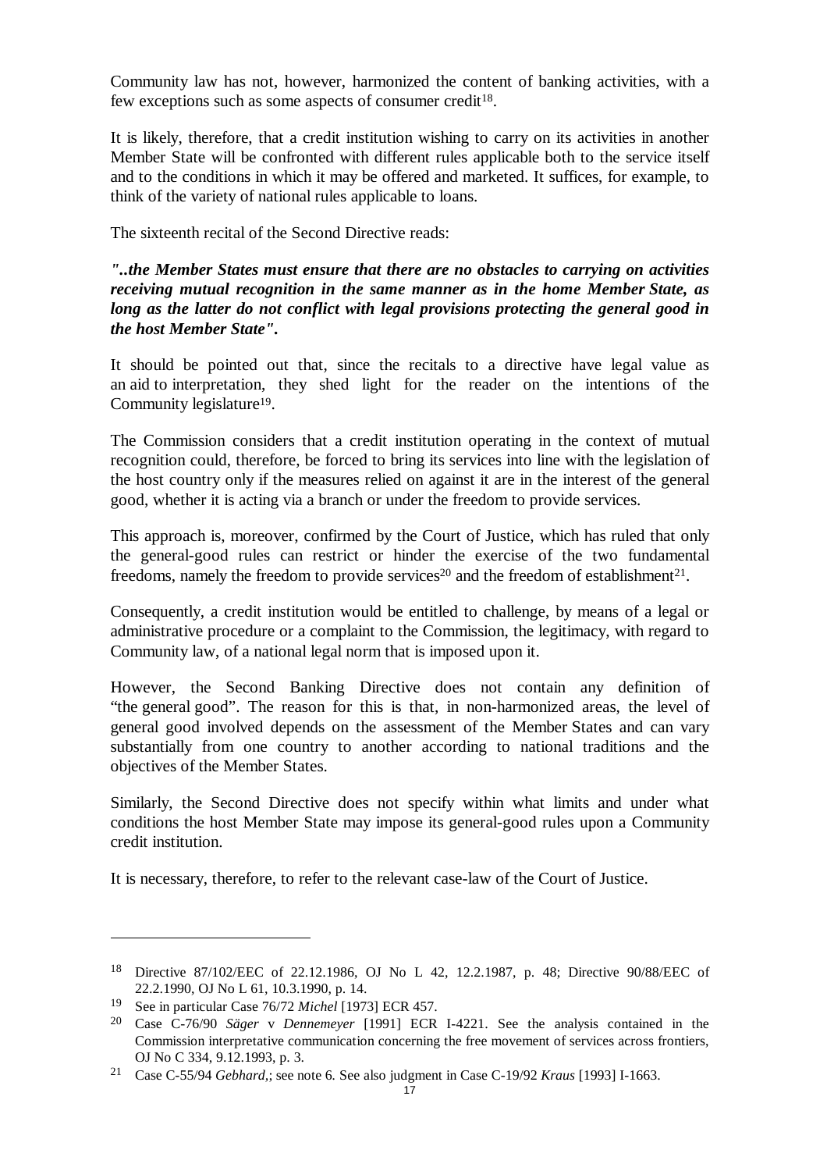Community law has not, however, harmonized the content of banking activities, with a few exceptions such as some aspects of consumer credit<sup>18</sup>.

It is likely, therefore, that a credit institution wishing to carry on its activities in another Member State will be confronted with different rules applicable both to the service itself and to the conditions in which it may be offered and marketed. It suffices, for example, to think of the variety of national rules applicable to loans.

The sixteenth recital of the Second Directive reads:

*"..the Member States must ensure that there are no obstacles to carrying on activities receiving mutual recognition in the same manner as in the home Member State, as long as the latter do not conflict with legal provisions protecting the general good in the host Member State".*

It should be pointed out that, since the recitals to a directive have legal value as an aid to interpretation, they shed light for the reader on the intentions of the Community legislature<sup>19</sup>.

The Commission considers that a credit institution operating in the context of mutual recognition could, therefore, be forced to bring its services into line with the legislation of the host country only if the measures relied on against it are in the interest of the general good, whether it is acting via a branch or under the freedom to provide services.

This approach is, moreover, confirmed by the Court of Justice, which has ruled that only the general-good rules can restrict or hinder the exercise of the two fundamental freedoms, namely the freedom to provide services<sup>20</sup> and the freedom of establishment<sup>21</sup>.

Consequently, a credit institution would be entitled to challenge, by means of a legal or administrative procedure or a complaint to the Commission, the legitimacy, with regard to Community law, of a national legal norm that is imposed upon it.

However, the Second Banking Directive does not contain any definition of "the general good". The reason for this is that, in non-harmonized areas, the level of general good involved depends on the assessment of the Member States and can vary substantially from one country to another according to national traditions and the objectives of the Member States.

Similarly, the Second Directive does not specify within what limits and under what conditions the host Member State may impose its general-good rules upon a Community credit institution.

It is necessary, therefore, to refer to the relevant case-law of the Court of Justice.

<sup>18</sup> Directive 87/102/EEC of 22.12.1986, OJ No L 42, 12.2.1987, p. 48; Directive 90/88/EEC of 22.2.1990, OJ No L 61, 10.3.1990, p. 14.

<sup>19</sup> See in particular Case 76/72 *Michel* [1973] ECR 457.

<sup>20</sup> Case C-76/90 *Säger* v *Dennemeyer* [1991] ECR I-4221. See the analysis contained in the Commission interpretative communication concerning the free movement of services across frontiers, OJ No C 334, 9.12.1993, p. 3.

<sup>21</sup> Case C-55/94 *Gebhard,*; see note 6*.* See also judgment in Case C-19/92 *Kraus* [1993] I-1663.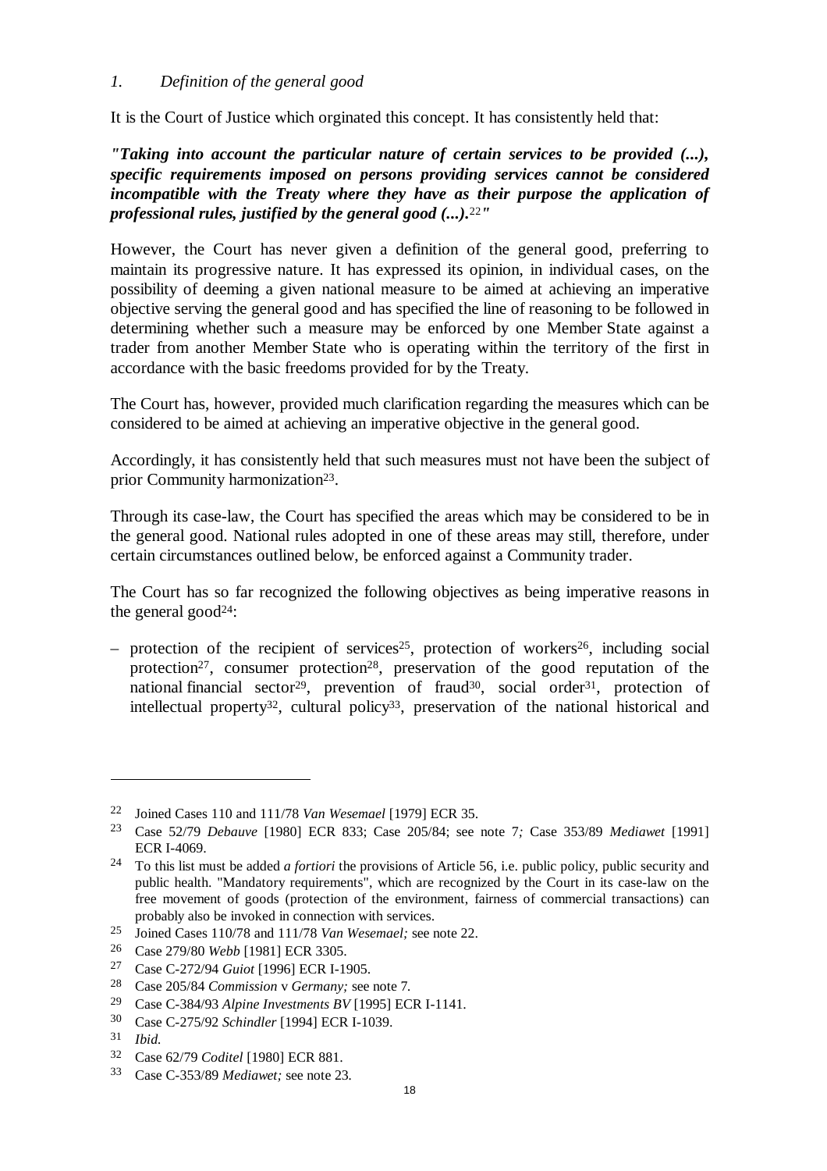#### *1. Definition of the general good*

It is the Court of Justice which orginated this concept. It has consistently held that:

*"Taking into account the particular nature of certain services to be provided (...), specific requirements imposed on persons providing services cannot be considered incompatible with the Treaty where they have as their purpose the application of professional rules, justified by the general good (...).*22*"*

However, the Court has never given a definition of the general good, preferring to maintain its progressive nature. It has expressed its opinion, in individual cases, on the possibility of deeming a given national measure to be aimed at achieving an imperative objective serving the general good and has specified the line of reasoning to be followed in determining whether such a measure may be enforced by one Member State against a trader from another Member State who is operating within the territory of the first in accordance with the basic freedoms provided for by the Treaty.

The Court has, however, provided much clarification regarding the measures which can be considered to be aimed at achieving an imperative objective in the general good.

Accordingly, it has consistently held that such measures must not have been the subject of prior Community harmonization<sup>23</sup>.

Through its case-law, the Court has specified the areas which may be considered to be in the general good. National rules adopted in one of these areas may still, therefore, under certain circumstances outlined below, be enforced against a Community trader.

The Court has so far recognized the following objectives as being imperative reasons in the general good $24$ :

– protection of the recipient of services<sup>25</sup>, protection of workers<sup>26</sup>, including social protection<sup>27</sup>, consumer protection<sup>28</sup>, preservation of the good reputation of the national financial sector<sup>29</sup>, prevention of fraud<sup>30</sup>, social order<sup>31</sup>, protection of intellectual property<sup>32</sup>, cultural policy<sup>33</sup>, preservation of the national historical and

<sup>22</sup> Joined Cases 110 and 111/78 *Van Wesemael* [1979] ECR 35.

<sup>23</sup> Case 52/79 *Debauve* [1980] ECR 833; Case 205/84; see note 7*;* Case 353/89 *Mediawet* [1991] ECR I-4069.

<sup>24</sup> To this list must be added *a fortiori* the provisions of Article 56, i.e. public policy, public security and public health. "Mandatory requirements", which are recognized by the Court in its case-law on the free movement of goods (protection of the environment, fairness of commercial transactions) can probably also be invoked in connection with services.

<sup>25</sup> Joined Cases 110/78 and 111/78 *Van Wesemael;* see note 22.

<sup>26</sup> Case 279/80 *Webb* [1981] ECR 3305.

<sup>27</sup> Case C-272/94 *Guiot* [1996] ECR I-1905.

<sup>28</sup> Case 205/84 *Commission* v *Germany;* see note 7*.*

<sup>29</sup> Case C-384/93 *Alpine Investments BV* [1995] ECR I-1141.

<sup>30</sup> Case C-275/92 *Schindler* [1994] ECR I-1039.

<sup>31</sup> *Ibid.*

<sup>32</sup> Case 62/79 *Coditel* [1980] ECR 881.

<sup>33</sup> Case C-353/89 *Mediawet;* see note 23*.*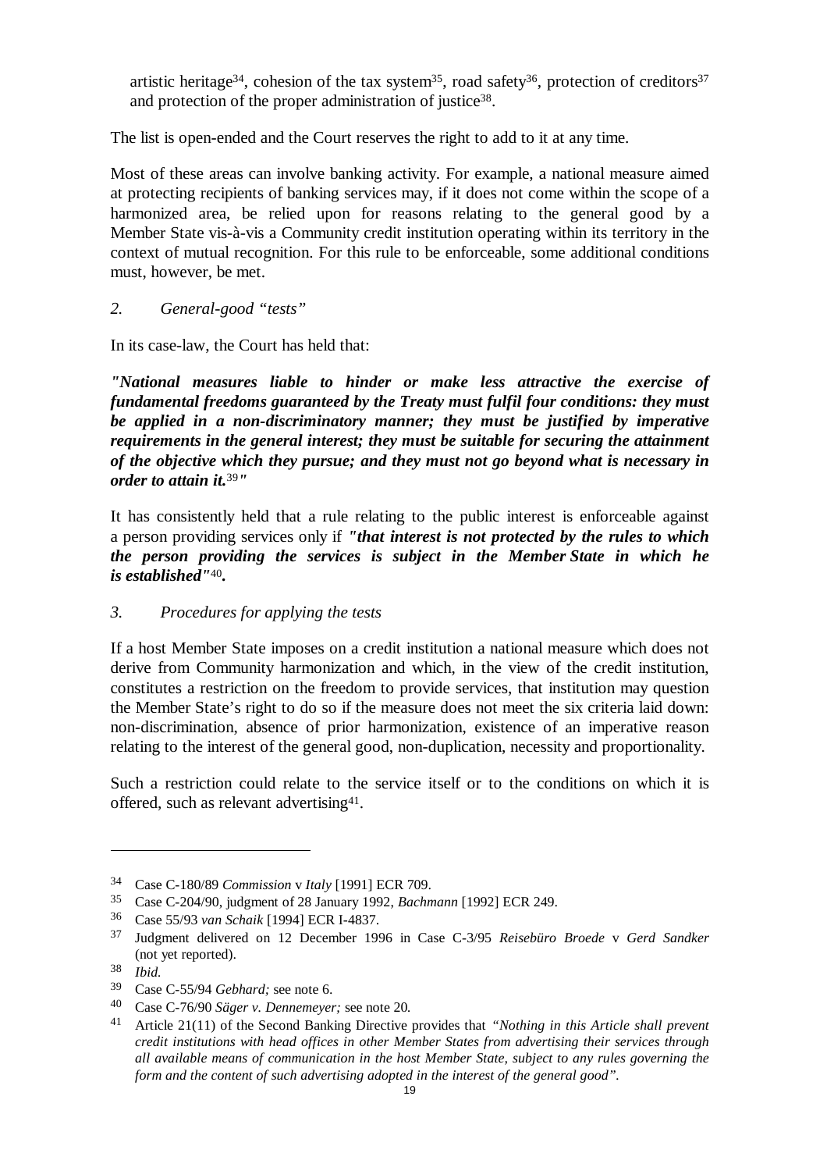artistic heritage<sup>34</sup>, cohesion of the tax system<sup>35</sup>, road safety<sup>36</sup>, protection of creditors<sup>37</sup> and protection of the proper administration of justice<sup>38</sup>.

The list is open-ended and the Court reserves the right to add to it at any time.

Most of these areas can involve banking activity. For example, a national measure aimed at protecting recipients of banking services may, if it does not come within the scope of a harmonized area, be relied upon for reasons relating to the general good by a Member State vis-à-vis a Community credit institution operating within its territory in the context of mutual recognition. For this rule to be enforceable, some additional conditions must, however, be met.

*2. General-good "tests"*

In its case-law, the Court has held that:

*"National measures liable to hinder or make less attractive the exercise of fundamental freedoms guaranteed by the Treaty must fulfil four conditions: they must be applied in a non-discriminatory manner; they must be justified by imperative requirements in the general interest; they must be suitable for securing the attainment of the objective which they pursue; and they must not go beyond what is necessary in order to attain it.*39*"*

It has consistently held that a rule relating to the public interest is enforceable against a person providing services only if *"that interest is not protected by the rules to which the person providing the services is subject in the Member State in which he is established"*<sup>40</sup> *.*

## *3. Procedures for applying the tests*

If a host Member State imposes on a credit institution a national measure which does not derive from Community harmonization and which, in the view of the credit institution, constitutes a restriction on the freedom to provide services, that institution may question the Member State's right to do so if the measure does not meet the six criteria laid down: non-discrimination, absence of prior harmonization, existence of an imperative reason relating to the interest of the general good, non-duplication, necessity and proportionality.

Such a restriction could relate to the service itself or to the conditions on which it is offered, such as relevant advertising<sup>41</sup>.

<sup>34</sup> Case C-180/89 *Commission* v *Italy* [1991] ECR 709.

<sup>35</sup> Case C-204/90, judgment of 28 January 1992, *Bachmann* [1992] ECR 249.

<sup>36</sup> Case 55/93 *van Schaik* [1994] ECR I-4837.

<sup>37</sup> Judgment delivered on 12 December 1996 in Case C-3/95 *Reisebüro Broede* v *Gerd Sandker* (not yet reported).

<sup>38</sup> *Ibid.*

<sup>39</sup> Case C-55/94 *Gebhard;* see note 6.

<sup>40</sup> Case C-76/90 *Säger v. Dennemeyer;* see note 20*.*

<sup>41</sup> Article 21(11) of the Second Banking Directive provides that *"Nothing in this Article shall prevent credit institutions with head offices in other Member States from advertising their services through all available means of communication in the host Member State, subject to any rules governing the form and the content of such advertising adopted in the interest of the general good".*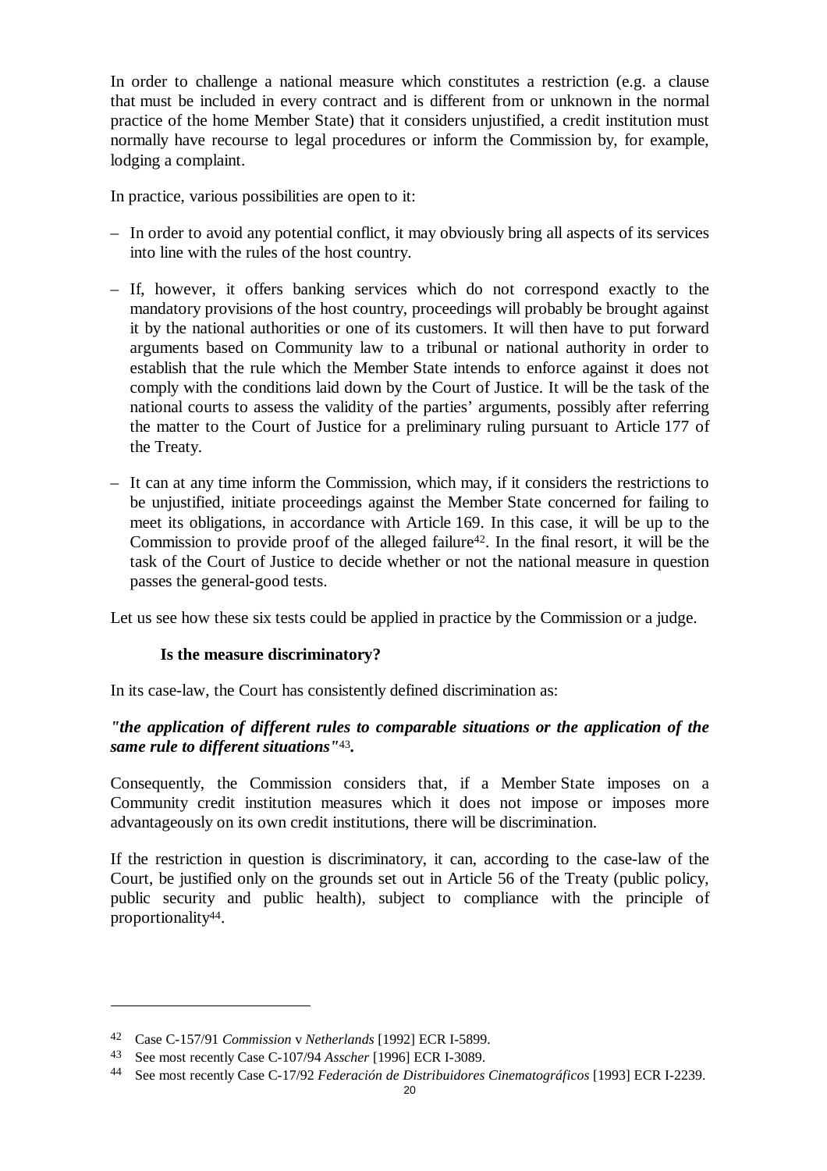In order to challenge a national measure which constitutes a restriction (e.g. a clause that must be included in every contract and is different from or unknown in the normal practice of the home Member State) that it considers unjustified, a credit institution must normally have recourse to legal procedures or inform the Commission by, for example, lodging a complaint.

In practice, various possibilities are open to it:

- In order to avoid any potential conflict, it may obviously bring all aspects of its services into line with the rules of the host country.
- If, however, it offers banking services which do not correspond exactly to the mandatory provisions of the host country, proceedings will probably be brought against it by the national authorities or one of its customers. It will then have to put forward arguments based on Community law to a tribunal or national authority in order to establish that the rule which the Member State intends to enforce against it does not comply with the conditions laid down by the Court of Justice. It will be the task of the national courts to assess the validity of the parties' arguments, possibly after referring the matter to the Court of Justice for a preliminary ruling pursuant to Article 177 of the Treaty.
- It can at any time inform the Commission, which may, if it considers the restrictions to be unjustified, initiate proceedings against the Member State concerned for failing to meet its obligations, in accordance with Article 169. In this case, it will be up to the Commission to provide proof of the alleged failure<sup>42</sup>. In the final resort, it will be the task of the Court of Justice to decide whether or not the national measure in question passes the general-good tests.

Let us see how these six tests could be applied in practice by the Commission or a judge.

## **Is the measure discriminatory?**

In its case-law, the Court has consistently defined discrimination as:

## *"the application of different rules to comparable situations or the application of the same rule to different situations"*<sup>43</sup> *.*

Consequently, the Commission considers that, if a Member State imposes on a Community credit institution measures which it does not impose or imposes more advantageously on its own credit institutions, there will be discrimination.

If the restriction in question is discriminatory, it can, according to the case-law of the Court, be justified only on the grounds set out in Article 56 of the Treaty (public policy, public security and public health), subject to compliance with the principle of proportionality<sup>44</sup>.

<sup>42</sup> Case C-157/91 *Commission* v *Netherlands* [1992] ECR I-5899.

<sup>43</sup> See most recently Case C-107/94 *Asscher* [1996] ECR I-3089.

<sup>44</sup> See most recently Case C-17/92 *Federación de Distribuidores Cinematográficos* [1993] ECR I-2239.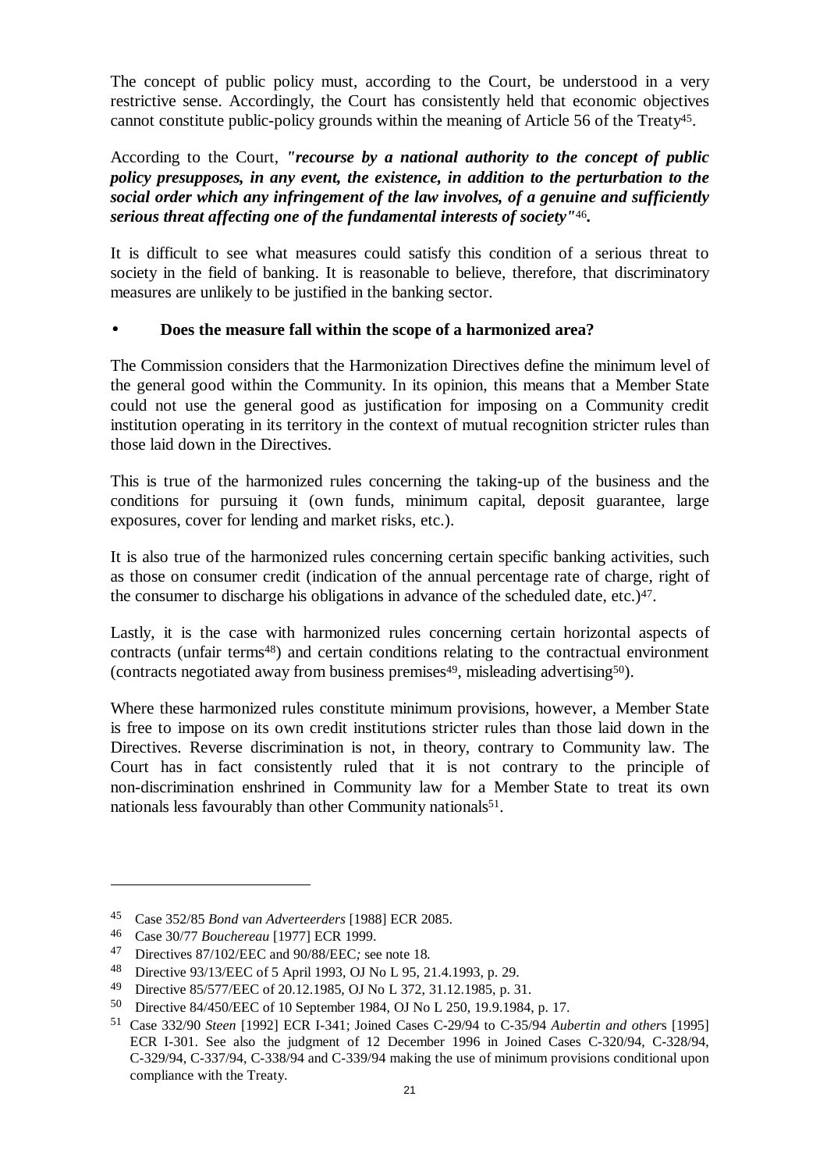The concept of public policy must, according to the Court, be understood in a very restrictive sense. Accordingly, the Court has consistently held that economic objectives cannot constitute public-policy grounds within the meaning of Article 56 of the Treaty<sup>45</sup>.

According to the Court, *"recourse by a national authority to the concept of public policy presupposes, in any event, the existence, in addition to the perturbation to the social order which any infringement of the law involves, of a genuine and sufficiently serious threat affecting one of the fundamental interests of society"*<sup>46</sup> *.*

It is difficult to see what measures could satisfy this condition of a serious threat to society in the field of banking. It is reasonable to believe, therefore, that discriminatory measures are unlikely to be justified in the banking sector.

## • **Does the measure fall within the scope of a harmonized area?**

The Commission considers that the Harmonization Directives define the minimum level of the general good within the Community. In its opinion, this means that a Member State could not use the general good as justification for imposing on a Community credit institution operating in its territory in the context of mutual recognition stricter rules than those laid down in the Directives.

This is true of the harmonized rules concerning the taking-up of the business and the conditions for pursuing it (own funds, minimum capital, deposit guarantee, large exposures, cover for lending and market risks, etc.).

It is also true of the harmonized rules concerning certain specific banking activities, such as those on consumer credit (indication of the annual percentage rate of charge, right of the consumer to discharge his obligations in advance of the scheduled date, etc.)<sup>47</sup>.

Lastly, it is the case with harmonized rules concerning certain horizontal aspects of contracts (unfair terms48) and certain conditions relating to the contractual environment (contracts negotiated away from business premises49, misleading advertising50).

Where these harmonized rules constitute minimum provisions, however, a Member State is free to impose on its own credit institutions stricter rules than those laid down in the Directives. Reverse discrimination is not, in theory, contrary to Community law. The Court has in fact consistently ruled that it is not contrary to the principle of non-discrimination enshrined in Community law for a Member State to treat its own nationals less favourably than other Community nationals<sup>51</sup>.

<sup>45</sup> Case 352/85 *Bond van Adverteerders* [1988] ECR 2085.

<sup>46</sup> Case 30/77 *Bouchereau* [1977] ECR 1999.

<sup>47</sup> Directives 87/102/EEC and 90/88/EEC*;* see note 18*.*

<sup>48</sup> Directive 93/13/EEC of 5 April 1993, OJ No L 95, 21.4.1993, p. 29.

<sup>49</sup> Directive 85/577/EEC of 20.12.1985, OJ No L 372, 31.12.1985, p. 31.

<sup>50</sup> Directive 84/450/EEC of 10 September 1984, OJ No L 250, 19.9.1984, p. 17.

<sup>51</sup> Case 332/90 *Steen* [1992] ECR I-341; Joined Cases C-29/94 to C-35/94 *Aubertin and other*s [1995] ECR I-301. See also the judgment of 12 December 1996 in Joined Cases C-320/94, C-328/94, C-329/94, C-337/94, C-338/94 and C-339/94 making the use of minimum provisions conditional upon compliance with the Treaty.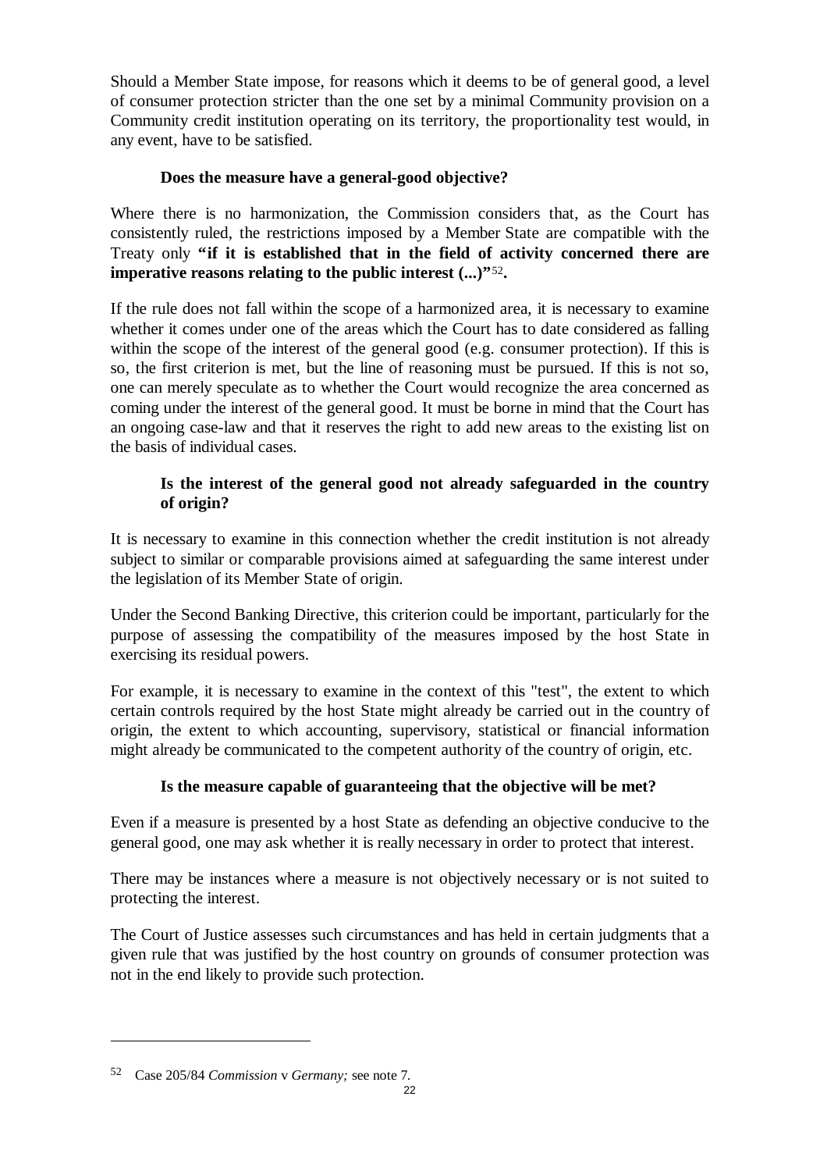Should a Member State impose, for reasons which it deems to be of general good, a level of consumer protection stricter than the one set by a minimal Community provision on a Community credit institution operating on its territory, the proportionality test would, in any event, have to be satisfied.

## **Does the measure have a general-good objective?**

Where there is no harmonization, the Commission considers that, as the Court has consistently ruled, the restrictions imposed by a Member State are compatible with the Treaty only **"if it is established that in the field of activity concerned there are imperative reasons relating to the public interest (...)"**<sup>52</sup> **.**

If the rule does not fall within the scope of a harmonized area, it is necessary to examine whether it comes under one of the areas which the Court has to date considered as falling within the scope of the interest of the general good (e.g. consumer protection). If this is so, the first criterion is met, but the line of reasoning must be pursued. If this is not so, one can merely speculate as to whether the Court would recognize the area concerned as coming under the interest of the general good. It must be borne in mind that the Court has an ongoing case-law and that it reserves the right to add new areas to the existing list on the basis of individual cases.

## **Is the interest of the general good not already safeguarded in the country of origin?**

It is necessary to examine in this connection whether the credit institution is not already subject to similar or comparable provisions aimed at safeguarding the same interest under the legislation of its Member State of origin.

Under the Second Banking Directive, this criterion could be important, particularly for the purpose of assessing the compatibility of the measures imposed by the host State in exercising its residual powers.

For example, it is necessary to examine in the context of this "test", the extent to which certain controls required by the host State might already be carried out in the country of origin, the extent to which accounting, supervisory, statistical or financial information might already be communicated to the competent authority of the country of origin, etc.

## **Is the measure capable of guaranteeing that the objective will be met?**

Even if a measure is presented by a host State as defending an objective conducive to the general good, one may ask whether it is really necessary in order to protect that interest.

There may be instances where a measure is not objectively necessary or is not suited to protecting the interest.

The Court of Justice assesses such circumstances and has held in certain judgments that a given rule that was justified by the host country on grounds of consumer protection was not in the end likely to provide such protection.

<sup>52</sup> Case 205/84 *Commission* v *Germany;* see note 7*.*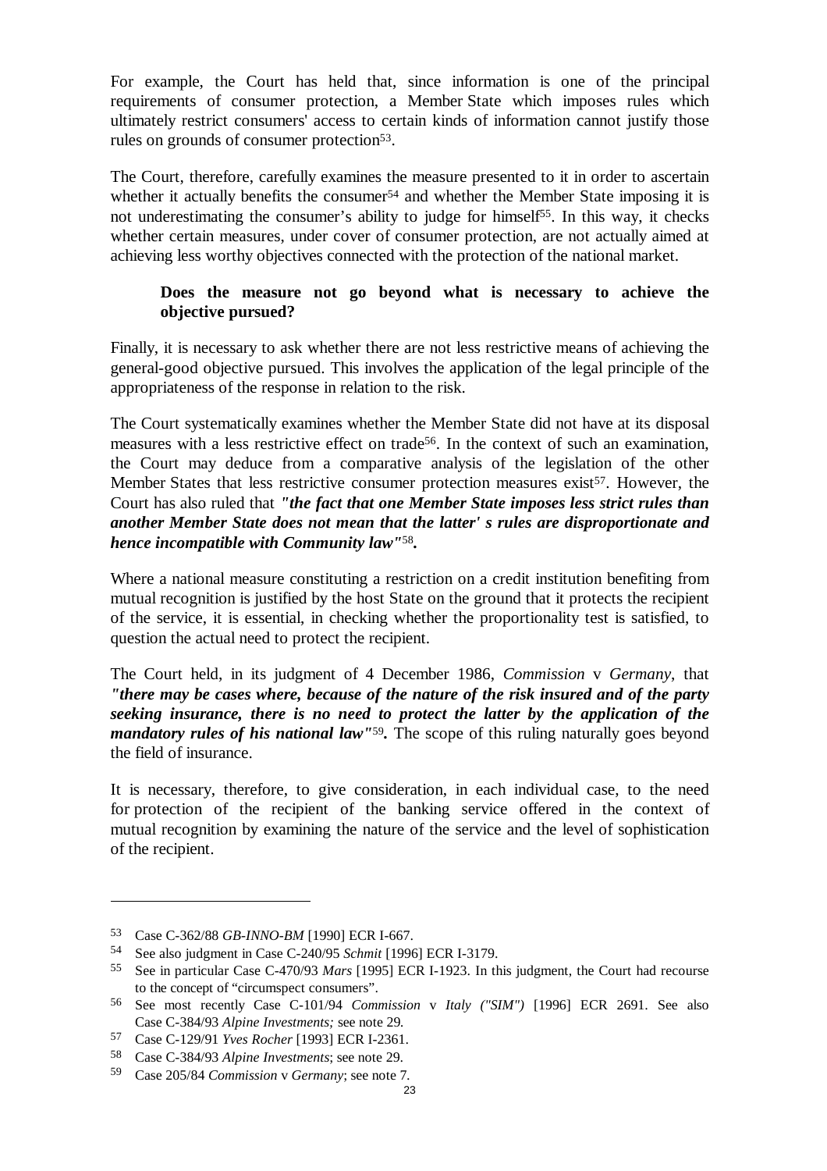For example, the Court has held that, since information is one of the principal requirements of consumer protection, a Member State which imposes rules which ultimately restrict consumers' access to certain kinds of information cannot justify those rules on grounds of consumer protection<sup>53</sup>.

The Court, therefore, carefully examines the measure presented to it in order to ascertain whether it actually benefits the consumer<sup>54</sup> and whether the Member State imposing it is not underestimating the consumer's ability to judge for himself<sup>55</sup>. In this way, it checks whether certain measures, under cover of consumer protection, are not actually aimed at achieving less worthy objectives connected with the protection of the national market.

## **Does the measure not go beyond what is necessary to achieve the objective pursued?**

Finally, it is necessary to ask whether there are not less restrictive means of achieving the general-good objective pursued. This involves the application of the legal principle of the appropriateness of the response in relation to the risk.

The Court systematically examines whether the Member State did not have at its disposal measures with a less restrictive effect on trade<sup>56</sup>. In the context of such an examination, the Court may deduce from a comparative analysis of the legislation of the other Member States that less restrictive consumer protection measures exist<sup>57</sup>. However, the Court has also ruled that *"the fact that one Member State imposes less strict rules than another Member State does not mean that the latter' s rules are disproportionate and hence incompatible with Community law"*<sup>58</sup> *.*

Where a national measure constituting a restriction on a credit institution benefiting from mutual recognition is justified by the host State on the ground that it protects the recipient of the service, it is essential, in checking whether the proportionality test is satisfied, to question the actual need to protect the recipient.

The Court held, in its judgment of 4 December 1986, *Commission* v *Germany*, that *"there may be cases where, because of the nature of the risk insured and of the party seeking insurance, there is no need to protect the latter by the application of the mandatory rules of his national law*<sup>1159</sup>. The scope of this ruling naturally goes beyond the field of insurance.

It is necessary, therefore, to give consideration, in each individual case, to the need for protection of the recipient of the banking service offered in the context of mutual recognition by examining the nature of the service and the level of sophistication of the recipient.

<sup>53</sup> Case C-362/88 *GB-INNO-BM* [1990] ECR I-667.

<sup>54</sup> See also judgment in Case C-240/95 *Schmit* [1996] ECR I-3179.

<sup>55</sup> See in particular Case C-470/93 *Mars* [1995] ECR I-1923. In this judgment, the Court had recourse to the concept of "circumspect consumers".

<sup>56</sup> See most recently Case C-101/94 *Commission* v *Italy ("SIM")* [1996] ECR 2691. See also Case C-384/93 *Alpine Investments;* see note 29*.*

<sup>57</sup> Case C-129/91 *Yves Rocher* [1993] ECR I-2361.

<sup>58</sup> Case C-384/93 *Alpine Investments*; see note 29.

<sup>59</sup> Case 205/84 *Commission* v *Germany*; see note 7*.*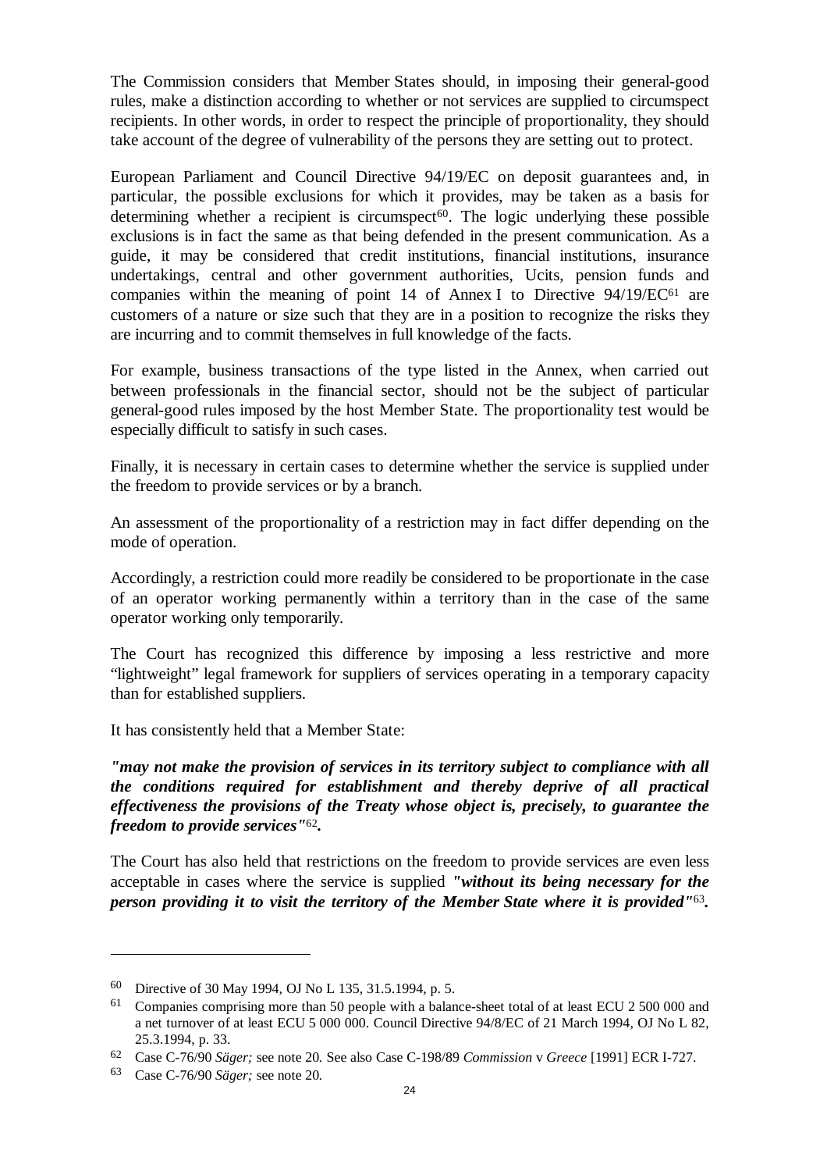The Commission considers that Member States should, in imposing their general-good rules, make a distinction according to whether or not services are supplied to circumspect recipients. In other words, in order to respect the principle of proportionality, they should take account of the degree of vulnerability of the persons they are setting out to protect.

European Parliament and Council Directive 94/19/EC on deposit guarantees and, in particular, the possible exclusions for which it provides, may be taken as a basis for determining whether a recipient is circumspect $60$ . The logic underlying these possible exclusions is in fact the same as that being defended in the present communication. As a guide, it may be considered that credit institutions, financial institutions, insurance undertakings, central and other government authorities, Ucits, pension funds and companies within the meaning of point 14 of Annex I to Directive 94/19/EC<sup>61</sup> are customers of a nature or size such that they are in a position to recognize the risks they are incurring and to commit themselves in full knowledge of the facts.

For example, business transactions of the type listed in the Annex, when carried out between professionals in the financial sector, should not be the subject of particular general-good rules imposed by the host Member State. The proportionality test would be especially difficult to satisfy in such cases.

Finally, it is necessary in certain cases to determine whether the service is supplied under the freedom to provide services or by a branch.

An assessment of the proportionality of a restriction may in fact differ depending on the mode of operation.

Accordingly, a restriction could more readily be considered to be proportionate in the case of an operator working permanently within a territory than in the case of the same operator working only temporarily.

The Court has recognized this difference by imposing a less restrictive and more "lightweight" legal framework for suppliers of services operating in a temporary capacity than for established suppliers.

It has consistently held that a Member State:

*"may not make the provision of services in its territory subject to compliance with all the conditions required for establishment and thereby deprive of all practical effectiveness the provisions of the Treaty whose object is, precisely, to guarantee the freedom to provide services"*<sup>62</sup> *.*

The Court has also held that restrictions on the freedom to provide services are even less acceptable in cases where the service is supplied *"without its being necessary for the person providing it to visit the territory of the Member State where it is provided"*<sup>63</sup> *.*

<sup>60</sup> Directive of 30 May 1994, OJ No L 135, 31.5.1994, p. 5.

<sup>&</sup>lt;sup>61</sup> Companies comprising more than 50 people with a balance-sheet total of at least ECU 2 500 000 and a net turnover of at least ECU 5 000 000. Council Directive 94/8/EC of 21 March 1994, OJ No L 82, 25.3.1994, p. 33.

<sup>62</sup> Case C-76/90 *Säger;* see note 20*.* See also Case C-198/89 *Commission* v *Greece* [1991] ECR I-727.

<sup>63</sup> Case C-76/90 *Säger;* see note 20*.*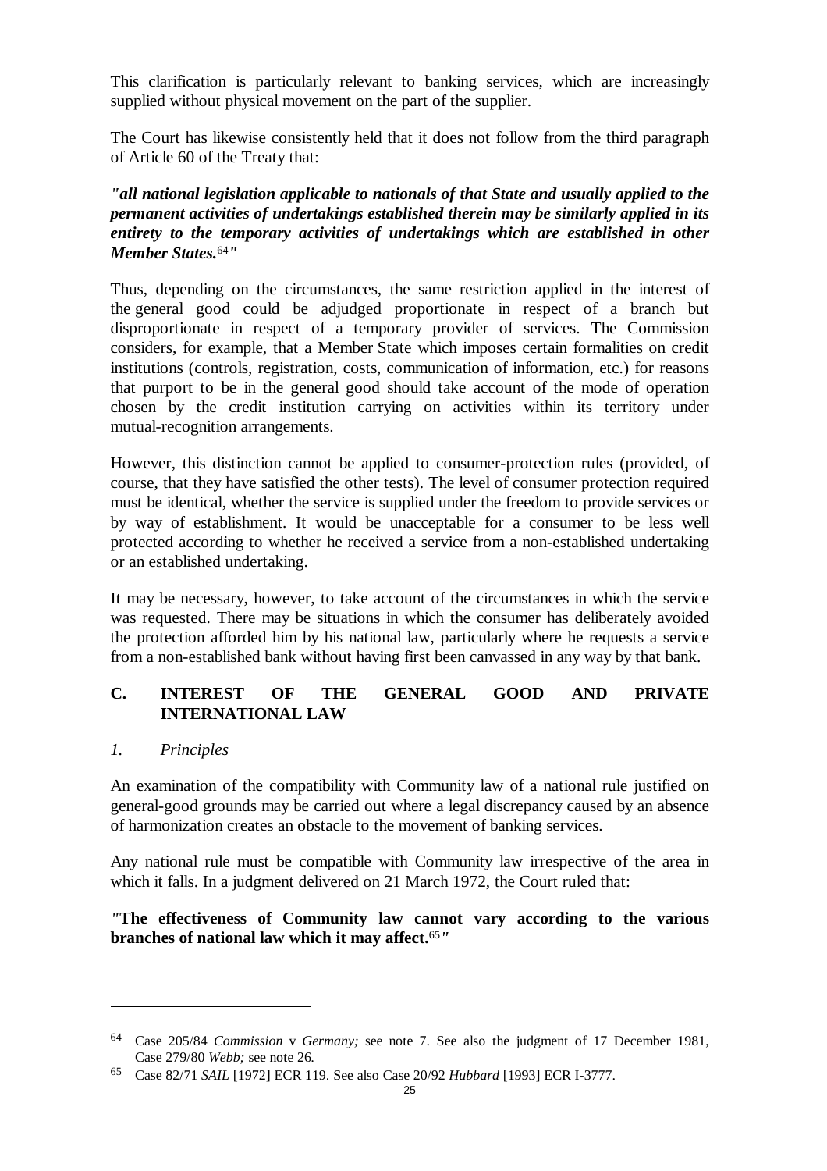This clarification is particularly relevant to banking services, which are increasingly supplied without physical movement on the part of the supplier.

The Court has likewise consistently held that it does not follow from the third paragraph of Article 60 of the Treaty that:

*"all national legislation applicable to nationals of that State and usually applied to the permanent activities of undertakings established therein may be similarly applied in its entirety to the temporary activities of undertakings which are established in other Member States.*64*"*

Thus, depending on the circumstances, the same restriction applied in the interest of the general good could be adjudged proportionate in respect of a branch but disproportionate in respect of a temporary provider of services. The Commission considers, for example, that a Member State which imposes certain formalities on credit institutions (controls, registration, costs, communication of information, etc.) for reasons that purport to be in the general good should take account of the mode of operation chosen by the credit institution carrying on activities within its territory under mutual-recognition arrangements.

However, this distinction cannot be applied to consumer-protection rules (provided, of course, that they have satisfied the other tests). The level of consumer protection required must be identical, whether the service is supplied under the freedom to provide services or by way of establishment. It would be unacceptable for a consumer to be less well protected according to whether he received a service from a non-established undertaking or an established undertaking.

It may be necessary, however, to take account of the circumstances in which the service was requested. There may be situations in which the consumer has deliberately avoided the protection afforded him by his national law, particularly where he requests a service from a non-established bank without having first been canvassed in any way by that bank.

## **C. INTEREST OF THE GENERAL GOOD AND PRIVATE INTERNATIONAL LAW**

## *1. Principles*

 $\overline{a}$ 

An examination of the compatibility with Community law of a national rule justified on general-good grounds may be carried out where a legal discrepancy caused by an absence of harmonization creates an obstacle to the movement of banking services.

Any national rule must be compatible with Community law irrespective of the area in which it falls. In a judgment delivered on 21 March 1972, the Court ruled that:

*"***The effectiveness of Community law cannot vary according to the various branches of national law which it may affect.**65*"*

<sup>64</sup> Case 205/84 *Commission* v *Germany;* see note 7. See also the judgment of 17 December 1981, Case 279/80 *Webb;* see note 26*.*

<sup>65</sup> Case 82/71 *SAIL* [1972] ECR 119. See also Case 20/92 *Hubbard* [1993] ECR I-3777.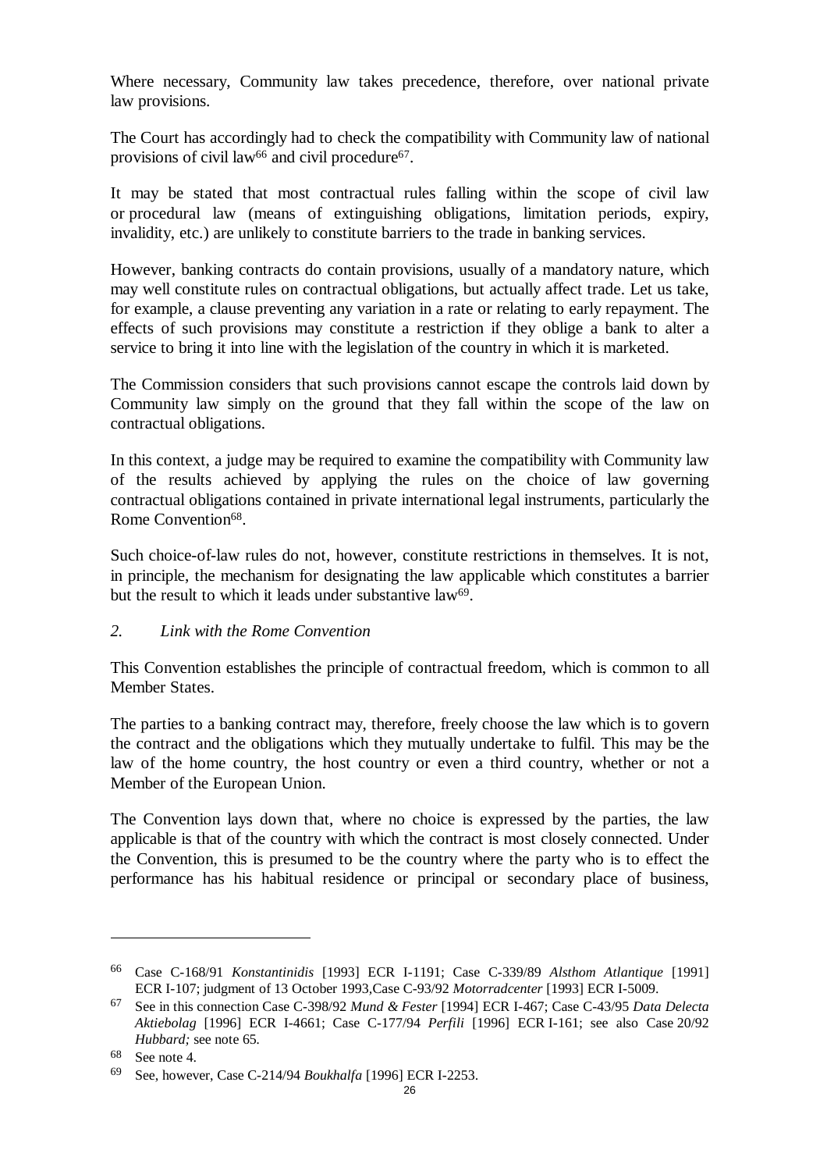Where necessary, Community law takes precedence, therefore, over national private law provisions.

The Court has accordingly had to check the compatibility with Community law of national provisions of civil law<sup>66</sup> and civil procedure<sup>67</sup>.

It may be stated that most contractual rules falling within the scope of civil law or procedural law (means of extinguishing obligations, limitation periods, expiry, invalidity, etc.) are unlikely to constitute barriers to the trade in banking services.

However, banking contracts do contain provisions, usually of a mandatory nature, which may well constitute rules on contractual obligations, but actually affect trade. Let us take, for example, a clause preventing any variation in a rate or relating to early repayment. The effects of such provisions may constitute a restriction if they oblige a bank to alter a service to bring it into line with the legislation of the country in which it is marketed.

The Commission considers that such provisions cannot escape the controls laid down by Community law simply on the ground that they fall within the scope of the law on contractual obligations.

In this context, a judge may be required to examine the compatibility with Community law of the results achieved by applying the rules on the choice of law governing contractual obligations contained in private international legal instruments, particularly the Rome Convention<sup>68</sup>.

Such choice-of-law rules do not, however, constitute restrictions in themselves. It is not, in principle, the mechanism for designating the law applicable which constitutes a barrier but the result to which it leads under substantive law<sup>69</sup>.

## *2. Link with the Rome Convention*

This Convention establishes the principle of contractual freedom, which is common to all Member States.

The parties to a banking contract may, therefore, freely choose the law which is to govern the contract and the obligations which they mutually undertake to fulfil. This may be the law of the home country, the host country or even a third country, whether or not a Member of the European Union.

The Convention lays down that, where no choice is expressed by the parties, the law applicable is that of the country with which the contract is most closely connected. Under the Convention, this is presumed to be the country where the party who is to effect the performance has his habitual residence or principal or secondary place of business,

<sup>66</sup> Case C-168/91 *Konstantinidis* [1993] ECR I-1191; Case C-339/89 *Alsthom Atlantique* [1991] ECR I-107; judgment of 13 October 1993*,*Case C-93/92 *Motorradcenter* [1993] ECR I-5009.

<sup>67</sup> See in this connection Case C-398/92 *Mund & Fester* [1994] ECR I-467; Case C-43/95 *Data Delecta Aktiebolag* [1996] ECR I-4661; Case C-177/94 *Perfili* [1996] ECR I-161; see also Case 20/92 *Hubbard;* see note 65*.*

<sup>68</sup> See note 4.

<sup>69</sup> See, however, Case C-214/94 *Boukhalfa* [1996] ECR I-2253.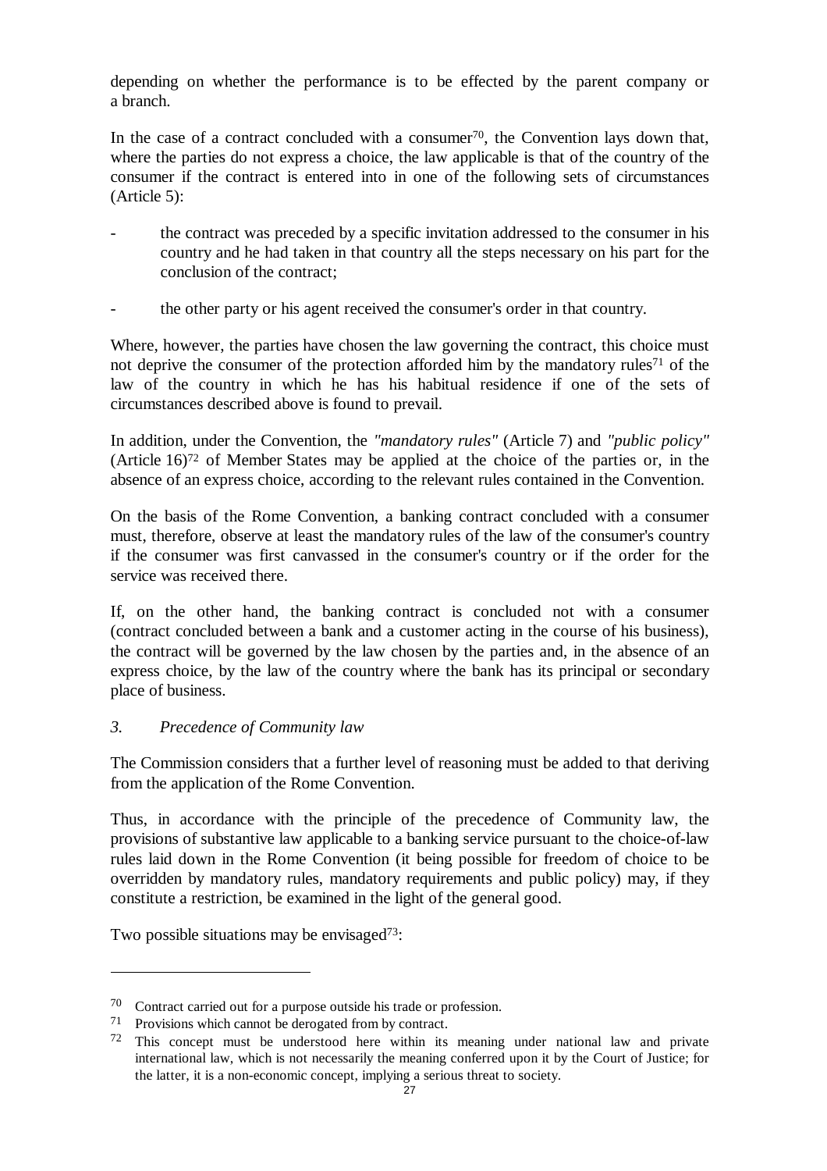depending on whether the performance is to be effected by the parent company or a branch.

In the case of a contract concluded with a consumer<sup>70</sup>, the Convention lays down that, where the parties do not express a choice, the law applicable is that of the country of the consumer if the contract is entered into in one of the following sets of circumstances (Article 5):

- the contract was preceded by a specific invitation addressed to the consumer in his country and he had taken in that country all the steps necessary on his part for the conclusion of the contract;
- the other party or his agent received the consumer's order in that country.

Where, however, the parties have chosen the law governing the contract, this choice must not deprive the consumer of the protection afforded him by the mandatory rules<sup>71</sup> of the law of the country in which he has his habitual residence if one of the sets of circumstances described above is found to prevail.

In addition, under the Convention, the *"mandatory rules"* (Article 7) and *"public policy"* (Article 16)72 of Member States may be applied at the choice of the parties or, in the absence of an express choice, according to the relevant rules contained in the Convention.

On the basis of the Rome Convention, a banking contract concluded with a consumer must, therefore, observe at least the mandatory rules of the law of the consumer's country if the consumer was first canvassed in the consumer's country or if the order for the service was received there.

If, on the other hand, the banking contract is concluded not with a consumer (contract concluded between a bank and a customer acting in the course of his business), the contract will be governed by the law chosen by the parties and, in the absence of an express choice, by the law of the country where the bank has its principal or secondary place of business.

## *3. Precedence of Community law*

The Commission considers that a further level of reasoning must be added to that deriving from the application of the Rome Convention.

Thus, in accordance with the principle of the precedence of Community law, the provisions of substantive law applicable to a banking service pursuant to the choice-of-law rules laid down in the Rome Convention (it being possible for freedom of choice to be overridden by mandatory rules, mandatory requirements and public policy) may, if they constitute a restriction, be examined in the light of the general good.

Two possible situations may be envisaged<sup>73</sup>:

<sup>70</sup> Contract carried out for a purpose outside his trade or profession.

<sup>71</sup> Provisions which cannot be derogated from by contract.

<sup>72</sup> This concept must be understood here within its meaning under national law and private international law, which is not necessarily the meaning conferred upon it by the Court of Justice; for the latter, it is a non-economic concept, implying a serious threat to society.